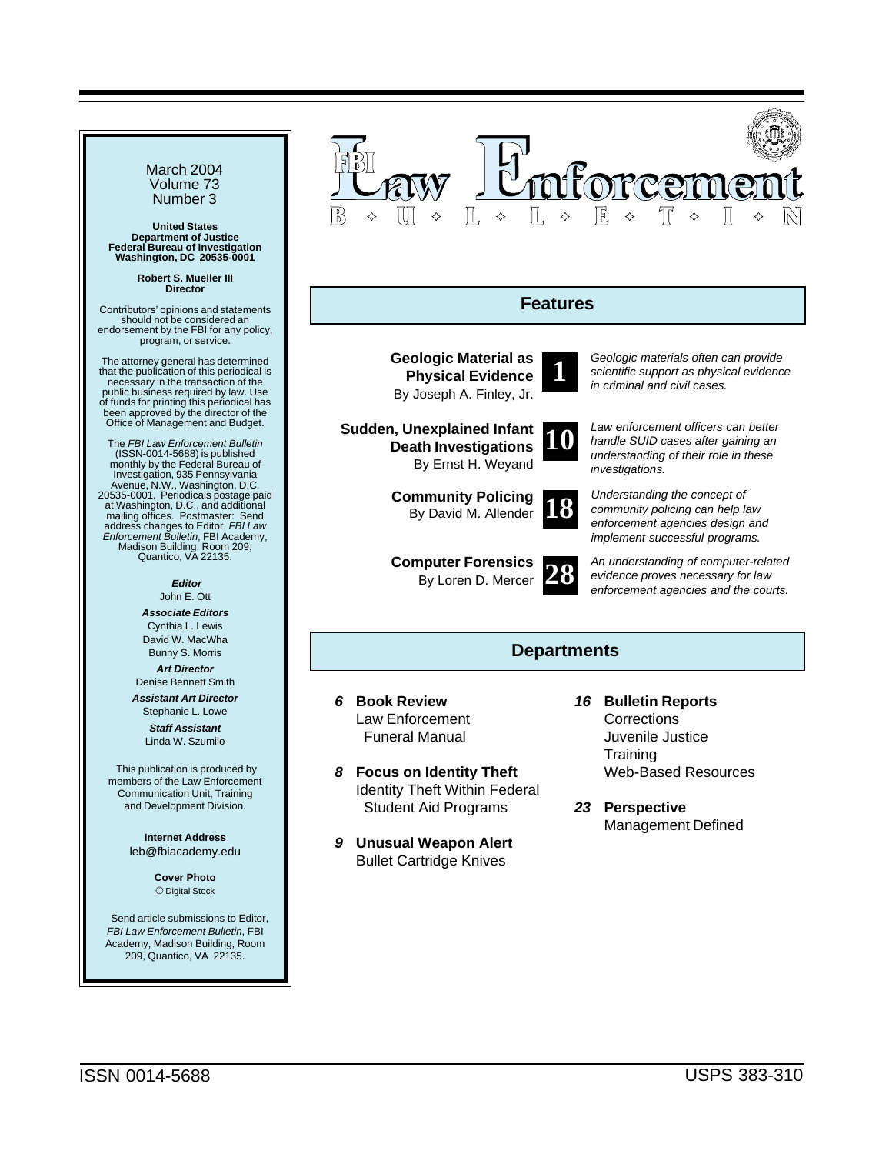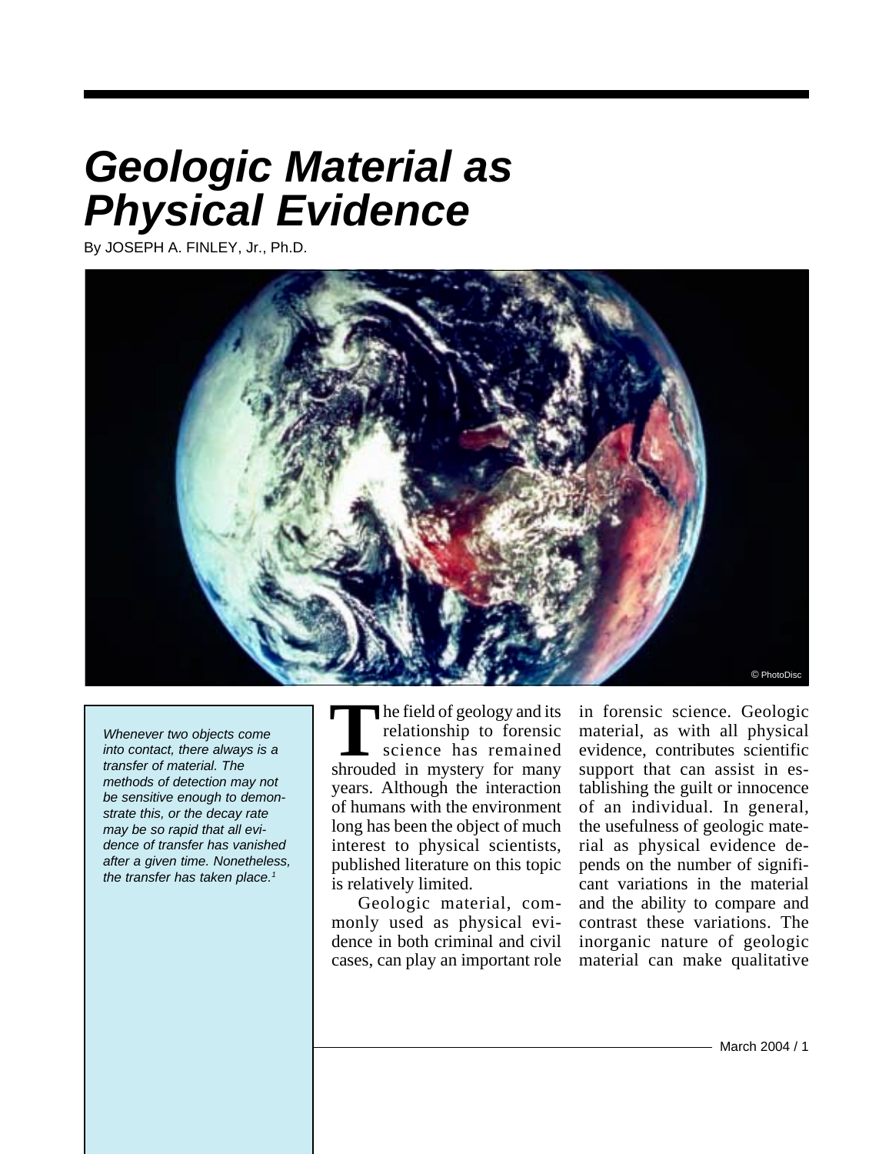# <span id="page-1-0"></span>*Geologic Material as Physical Evidence*

By JOSEPH A. FINLEY, Jr., Ph.D.



*Whenever two objects come into contact, there always is a transfer of material. The methods of detection may not be sensitive enough to demonstrate this, or the decay rate may be so rapid that all evidence of transfer has vanished after a given time. Nonetheless, the transfer has taken place.1*

he field of geology and its relationship to forensic science has remained The field of geology and its<br>
relationship to forensic<br>
science has remained<br>
shrouded in mystery for many years. Although the interaction of humans with the environment long has been the object of much interest to physical scientists, published literature on this topic is relatively limited.

Geologic material, commonly used as physical evidence in both criminal and civil cases, can play an important role

in forensic science. Geologic material, as with all physical evidence, contributes scientific support that can assist in establishing the guilt or innocence of an individual. In general, the usefulness of geologic material as physical evidence depends on the number of significant variations in the material and the ability to compare and contrast these variations. The inorganic nature of geologic material can make qualitative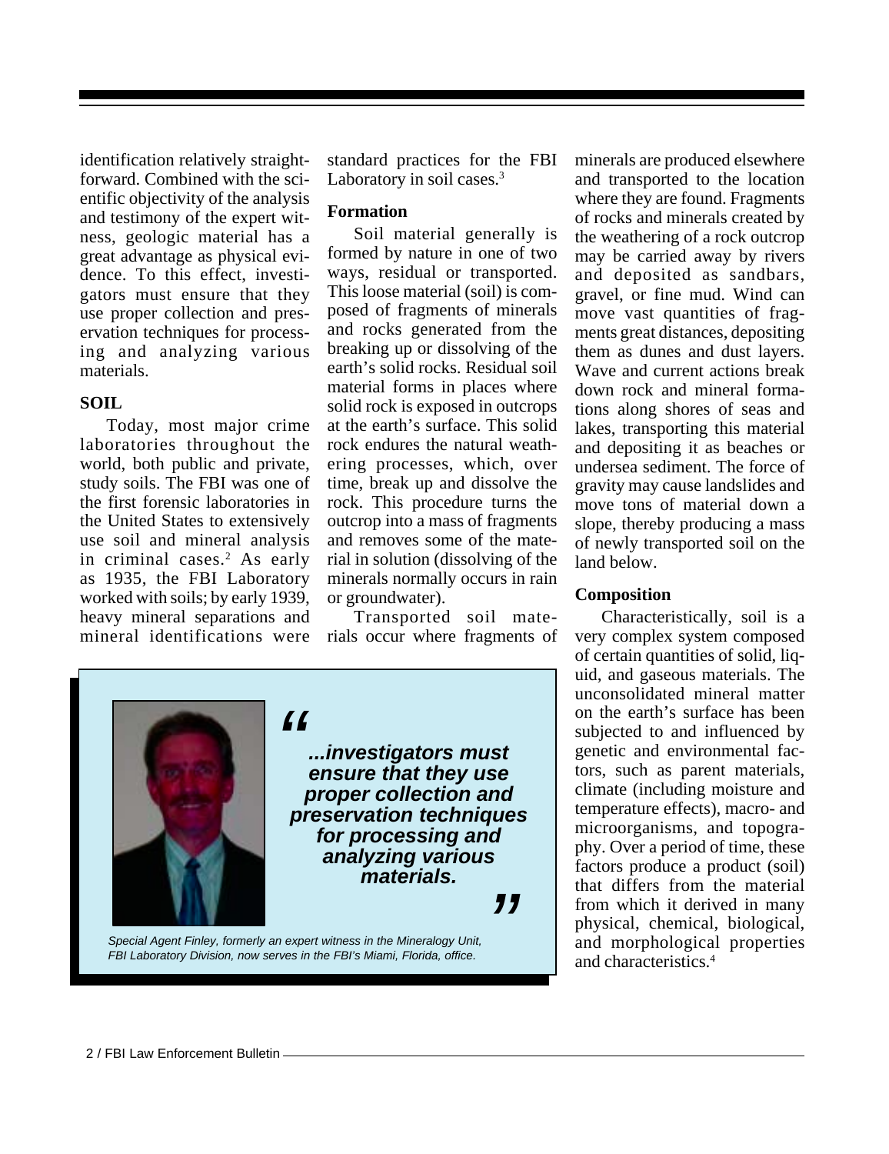identification relatively straightforward. Combined with the scientific objectivity of the analysis and testimony of the expert witness, geologic material has a great advantage as physical evidence. To this effect, investigators must ensure that they use proper collection and preservation techniques for processing and analyzing various materials.

#### **SOIL**

Today, most major crime laboratories throughout the world, both public and private, study soils. The FBI was one of the first forensic laboratories in the United States to extensively use soil and mineral analysis in criminal cases.<sup>2</sup> As early as 1935, the FBI Laboratory worked with soils; by early 1939, heavy mineral separations and mineral identifications were

standard practices for the FBI Laboratory in soil cases.<sup>3</sup>

#### **Formation**

Soil material generally is formed by nature in one of two ways, residual or transported. This loose material (soil) is composed of fragments of minerals and rocks generated from the breaking up or dissolving of the earth's solid rocks. Residual soil material forms in places where solid rock is exposed in outcrops at the earth's surface. This solid rock endures the natural weathering processes, which, over time, break up and dissolve the rock. This procedure turns the outcrop into a mass of fragments and removes some of the material in solution (dissolving of the minerals normally occurs in rain or groundwater).

Transported soil materials occur where fragments of

*" Special Agent Finley, formerly an expert witness in the Mineralogy Unit, " ...investigators must ensure that they use proper collection and preservation techniques for processing and analyzing various materials.*

*FBI Laboratory Division, now serves in the FBI's Miami, Florida, office.*

minerals are produced elsewhere and transported to the location where they are found. Fragments of rocks and minerals created by the weathering of a rock outcrop may be carried away by rivers and deposited as sandbars, gravel, or fine mud. Wind can move vast quantities of fragments great distances, depositing them as dunes and dust layers. Wave and current actions break down rock and mineral formations along shores of seas and lakes, transporting this material and depositing it as beaches or undersea sediment. The force of gravity may cause landslides and move tons of material down a slope, thereby producing a mass of newly transported soil on the land below.

#### **Composition**

Characteristically, soil is a very complex system composed of certain quantities of solid, liquid, and gaseous materials. The unconsolidated mineral matter on the earth's surface has been subjected to and influenced by genetic and environmental factors, such as parent materials, climate (including moisture and temperature effects), macro- and microorganisms, and topography. Over a period of time, these factors produce a product (soil) that differs from the material from which it derived in many physical, chemical, biological, and morphological properties and characteristics.4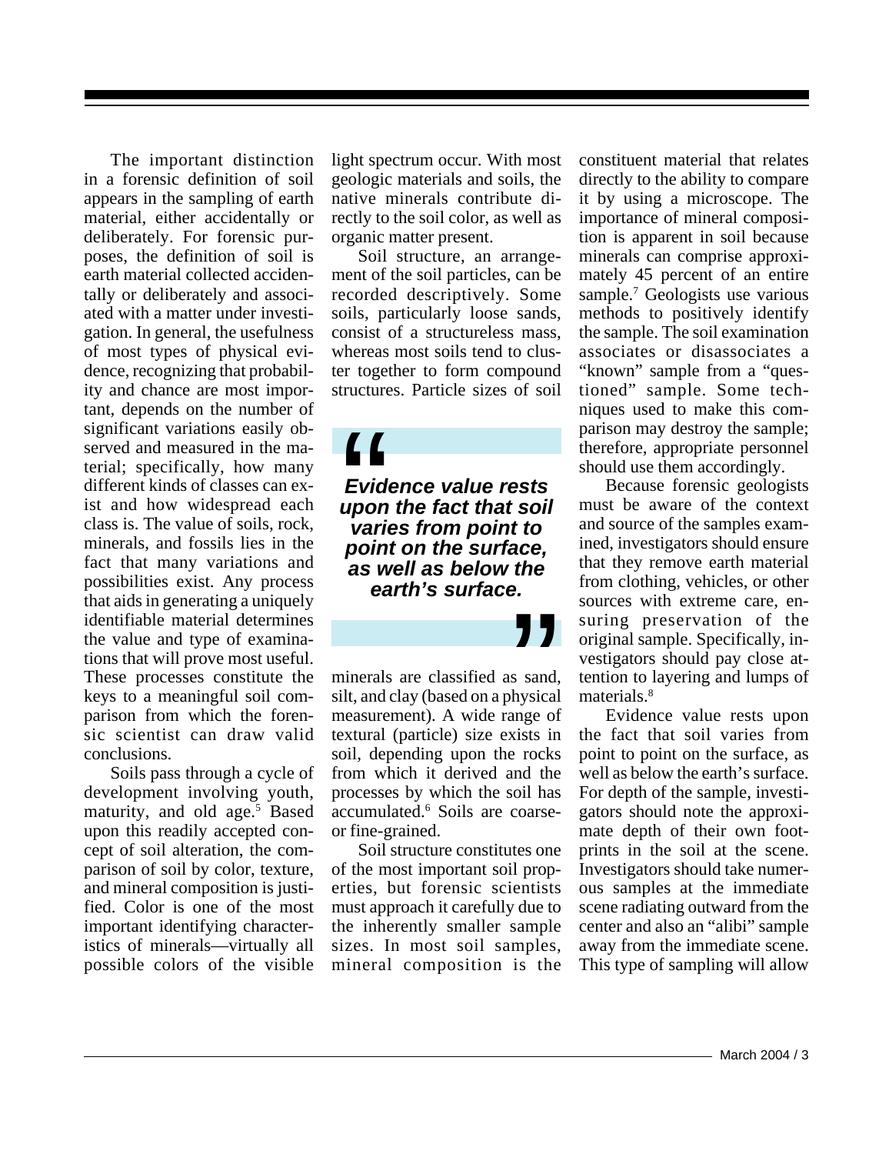The important distinction in a forensic definition of soil appears in the sampling of earth material, either accidentally or deliberately. For forensic purposes, the definition of soil is earth material collected accidentally or deliberately and associated with a matter under investigation. In general, the usefulness of most types of physical evidence, recognizing that probability and chance are most important, depends on the number of significant variations easily observed and measured in the material; specifically, how many different kinds of classes can exist and how widespread each class is. The value of soils, rock, minerals, and fossils lies in the fact that many variations and possibilities exist. Any process that aids in generating a uniquely identifiable material determines the value and type of examinations that will prove most useful. These processes constitute the keys to a meaningful soil comparison from which the forensic scientist can draw valid conclusions.

Soils pass through a cycle of development involving youth, maturity, and old age.<sup>5</sup> Based upon this readily accepted concept of soil alteration, the comparison of soil by color, texture, and mineral composition is justified. Color is one of the most important identifying characteristics of minerals—virtually all possible colors of the visible

light spectrum occur. With most geologic materials and soils, the native minerals contribute directly to the soil color, as well as organic matter present.

Soil structure, an arrangement of the soil particles, can be recorded descriptively. Some soils, particularly loose sands, consist of a structureless mass, whereas most soils tend to cluster together to form compound structures. Particle sizes of soil

*Evidence value rests upon the fact that soil varies from point to* **f**<br> *pointing the surface value rests<br>
upon the fact that soivaries from point to<br>
point on the surface, as well as below the earth's surface.*

minerals are classified as sand, silt, and clay (based on a physical measurement). A wide range of textural (particle) size exists in soil, depending upon the rocks from which it derived and the processes by which the soil has accumulated.6 Soils are coarseor fine-grained. **Solution**<br>Social stand,<br>bysical ange of<br>xists in

Soil structure constitutes one of the most important soil properties, but forensic scientists must approach it carefully due to the inherently smaller sample sizes. In most soil samples, mineral composition is the

constituent material that relates directly to the ability to compare it by using a microscope. The importance of mineral composition is apparent in soil because minerals can comprise approximately 45 percent of an entire sample.<sup>7</sup> Geologists use various methods to positively identify the sample. The soil examination associates or disassociates a "known" sample from a "questioned" sample. Some techniques used to make this comparison may destroy the sample; therefore, appropriate personnel should use them accordingly.

Because forensic geologists must be aware of the context and source of the samples examined, investigators should ensure that they remove earth material from clothing, vehicles, or other sources with extreme care, ensuring preservation of the original sample. Specifically, investigators should pay close attention to layering and lumps of materials.<sup>8</sup>

Evidence value rests upon the fact that soil varies from point to point on the surface, as well as below the earth's surface. For depth of the sample, investigators should note the approximate depth of their own footprints in the soil at the scene. Investigators should take numerous samples at the immediate scene radiating outward from the center and also an "alibi" sample away from the immediate scene. This type of sampling will allow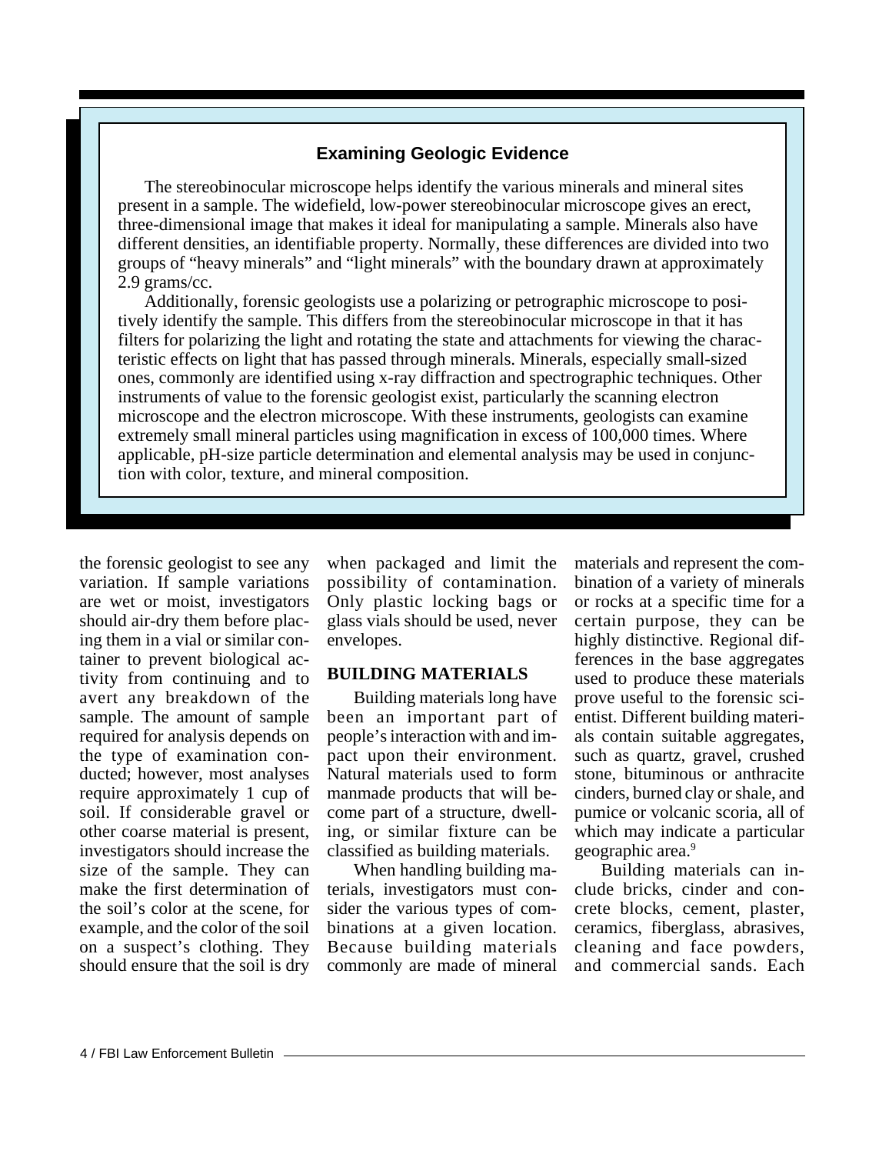### **Examining Geologic Evidence**

The stereobinocular microscope helps identify the various minerals and mineral sites present in a sample. The widefield, low-power stereobinocular microscope gives an erect, three-dimensional image that makes it ideal for manipulating a sample. Minerals also have different densities, an identifiable property. Normally, these differences are divided into two groups of "heavy minerals" and "light minerals" with the boundary drawn at approximately 2.9 grams/cc.

Additionally, forensic geologists use a polarizing or petrographic microscope to positively identify the sample. This differs from the stereobinocular microscope in that it has filters for polarizing the light and rotating the state and attachments for viewing the characteristic effects on light that has passed through minerals. Minerals, especially small-sized ones, commonly are identified using x-ray diffraction and spectrographic techniques. Other instruments of value to the forensic geologist exist, particularly the scanning electron microscope and the electron microscope. With these instruments, geologists can examine extremely small mineral particles using magnification in excess of 100,000 times. Where applicable, pH-size particle determination and elemental analysis may be used in conjunction with color, texture, and mineral composition.

the forensic geologist to see any variation. If sample variations are wet or moist, investigators should air-dry them before placing them in a vial or similar container to prevent biological activity from continuing and to avert any breakdown of the sample. The amount of sample required for analysis depends on the type of examination conducted; however, most analyses require approximately 1 cup of soil. If considerable gravel or other coarse material is present, investigators should increase the size of the sample. They can make the first determination of the soil's color at the scene, for example, and the color of the soil on a suspect's clothing. They should ensure that the soil is dry

when packaged and limit the possibility of contamination. Only plastic locking bags or glass vials should be used, never envelopes.

### **BUILDING MATERIALS**

Building materials long have been an important part of people's interaction with and impact upon their environment. Natural materials used to form manmade products that will become part of a structure, dwelling, or similar fixture can be classified as building materials.

When handling building materials, investigators must consider the various types of combinations at a given location. Because building materials commonly are made of mineral

materials and represent the combination of a variety of minerals or rocks at a specific time for a certain purpose, they can be highly distinctive. Regional differences in the base aggregates used to produce these materials prove useful to the forensic scientist. Different building materials contain suitable aggregates, such as quartz, gravel, crushed stone, bituminous or anthracite cinders, burned clay or shale, and pumice or volcanic scoria, all of which may indicate a particular geographic area.<sup>9</sup>

Building materials can include bricks, cinder and concrete blocks, cement, plaster, ceramics, fiberglass, abrasives, cleaning and face powders, and commercial sands. Each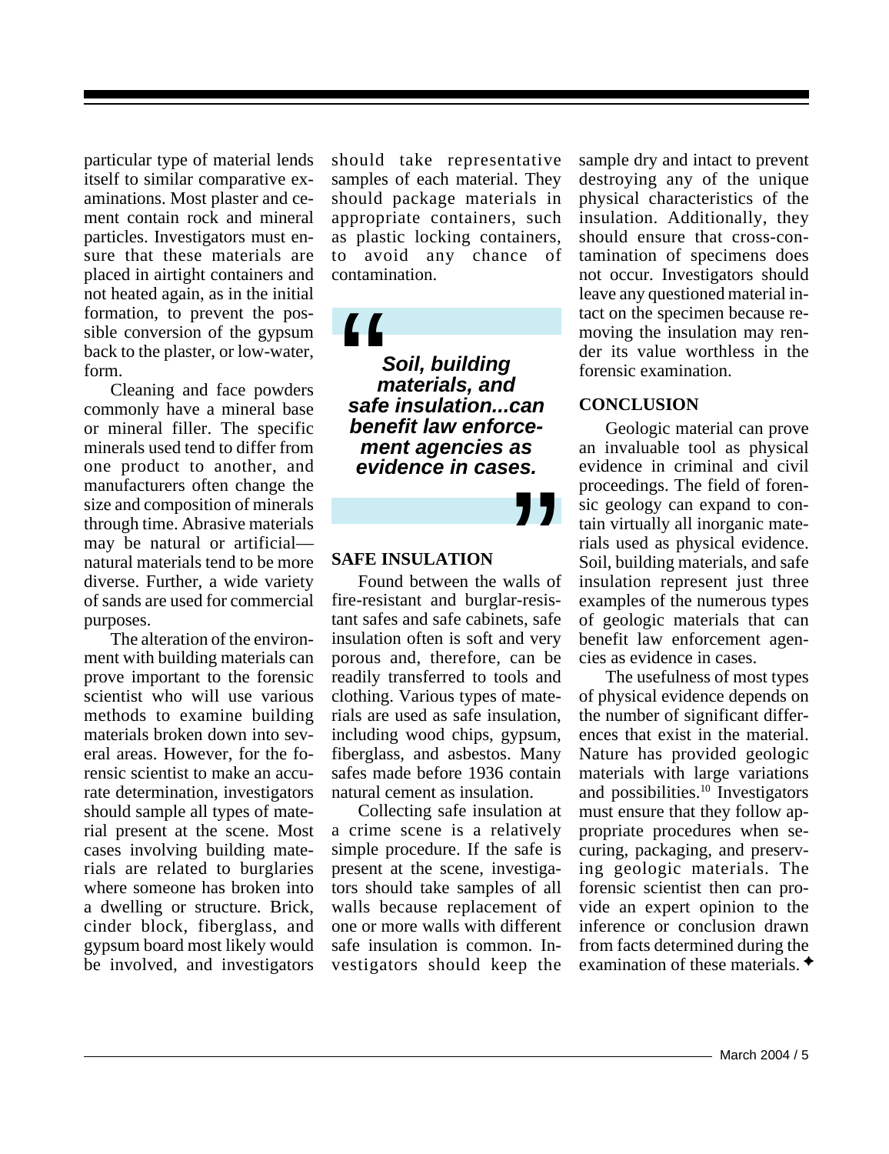particular type of material lends itself to similar comparative examinations. Most plaster and cement contain rock and mineral particles. Investigators must ensure that these materials are placed in airtight containers and not heated again, as in the initial formation, to prevent the possible conversion of the gypsum back to the plaster, or low-water, form.

Cleaning and face powders commonly have a mineral base or mineral filler. The specific minerals used tend to differ from one product to another, and manufacturers often change the size and composition of minerals through time. Abrasive materials may be natural or artificial natural materials tend to be more diverse. Further, a wide variety of sands are used for commercial purposes.

The alteration of the environment with building materials can prove important to the forensic scientist who will use various methods to examine building materials broken down into several areas. However, for the forensic scientist to make an accurate determination, investigators should sample all types of material present at the scene. Most cases involving building materials are related to burglaries where someone has broken into a dwelling or structure. Brick, cinder block, fiberglass, and gypsum board most likely would be involved, and investigators

should take representative samples of each material. They should package materials in appropriate containers, such as plastic locking containers, to avoid any chance of contamination.

*Soil, building materials, and safe insulation...can benefit law enforcement agencies as evidence in cases.*  $\begin{array}{c} \begin{array}{c} \begin{array}{c} \begin{array}{c} \end{array}\\ \end{array}\\ \begin{array}{c} \end{array}\\ \begin{array}{c} \end{array}\\ \begin{array}{c} \end{array}\\ \begin{array}{c} \end{array}\\ \end{array}\\ \begin{array}{c} \end{array}\\ \begin{array}{c} \end{array}\\ \begin{array}{c} \end{array}\\ \begin{array}{c} \end{array}\\ \begin{array}{c} \end{array}\\ \begin{array}{c} \end{array}\\ \begin{array}{c} \end{array}\\ \begin{array}{c} \end{array}\\ \begin{array}{c} \end{array}\\ \begin{array}{c} \end{array}\\ \begin{array}{c} \end$ 

"

#### **SAFE INSULATION**

Found between the walls of fire-resistant and burglar-resistant safes and safe cabinets, safe insulation often is soft and very porous and, therefore, can be readily transferred to tools and clothing. Various types of materials are used as safe insulation, including wood chips, gypsum, fiberglass, and asbestos. Many safes made before 1936 contain natural cement as insulation.

Collecting safe insulation at a crime scene is a relatively simple procedure. If the safe is present at the scene, investigators should take samples of all walls because replacement of one or more walls with different safe insulation is common. Investigators should keep the

sample dry and intact to prevent destroying any of the unique physical characteristics of the insulation. Additionally, they should ensure that cross-contamination of specimens does not occur. Investigators should leave any questioned material intact on the specimen because removing the insulation may render its value worthless in the forensic examination.

#### **CONCLUSION**

Geologic material can prove an invaluable tool as physical evidence in criminal and civil proceedings. The field of forensic geology can expand to contain virtually all inorganic materials used as physical evidence. Soil, building materials, and safe insulation represent just three examples of the numerous types of geologic materials that can benefit law enforcement agencies as evidence in cases.

The usefulness of most types of physical evidence depends on the number of significant differences that exist in the material. Nature has provided geologic materials with large variations and possibilities.<sup>10</sup> Investigators must ensure that they follow appropriate procedures when securing, packaging, and preserving geologic materials. The forensic scientist then can provide an expert opinion to the inference or conclusion drawn from facts determined during the examination of these materials.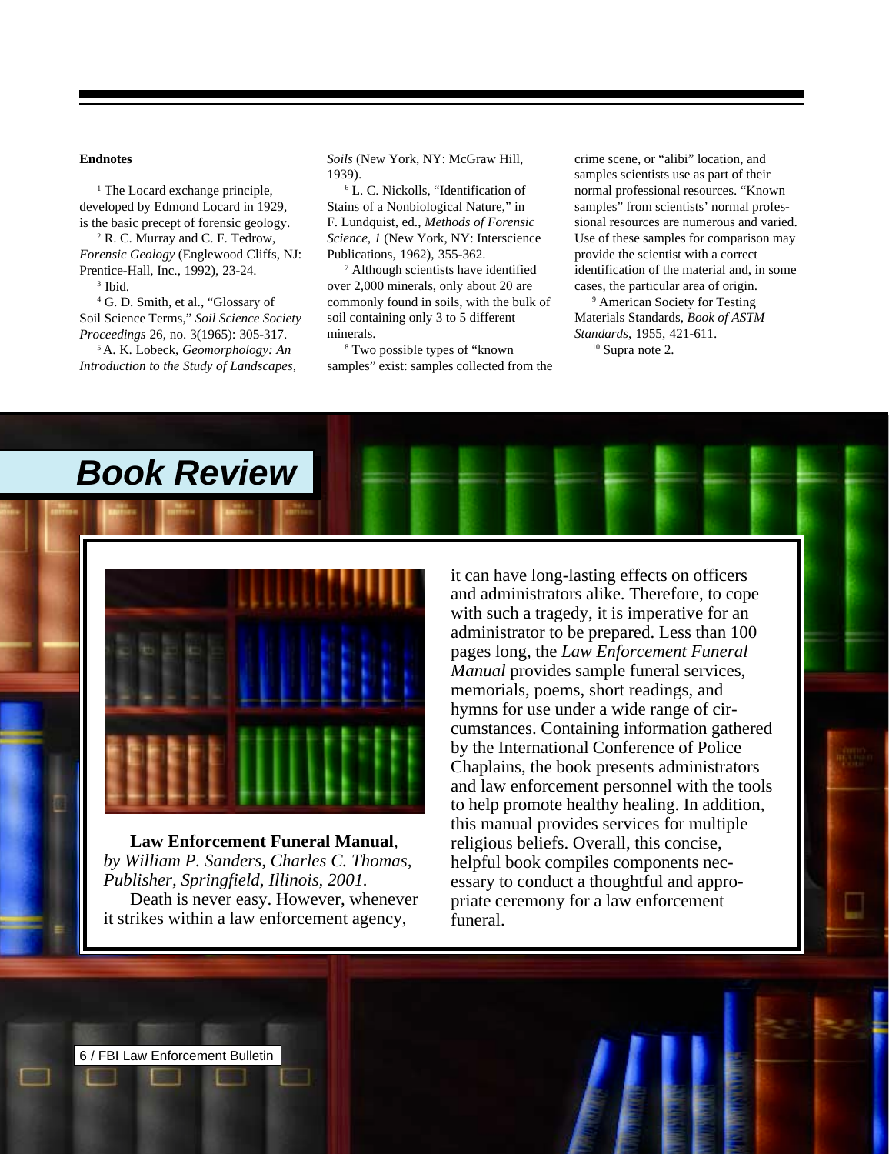#### <span id="page-6-0"></span>**Endnotes**

<sup>1</sup> The Locard exchange principle, developed by Edmond Locard in 1929, is the basic precept of forensic geology.

2 R. C. Murray and C. F. Tedrow, *Forensic Geology* (Englewood Cliffs, NJ: Prentice-Hall, Inc., 1992), 23-24.

3 Ibid.

4 G. D. Smith, et al., "Glossary of Soil Science Terms," *Soil Science Society Proceedings* 26, no. 3(1965): 305-317.

5 A. K. Lobeck, *Geomorphology: An Introduction to the Study of Landscapes,*

*Book Review*

*Soils* (New York, NY: McGraw Hill, 1939).

6 L. C. Nickolls, "Identification of Stains of a Nonbiological Nature," in F. Lundquist, ed., *Methods of Forensic Science, 1* (New York, NY: Interscience Publications, 1962), 355-362.

7 Although scientists have identified over 2,000 minerals, only about 20 are commonly found in soils, with the bulk of soil containing only 3 to 5 different minerals.

8 Two possible types of "known samples" exist: samples collected from the crime scene, or "alibi" location, and samples scientists use as part of their normal professional resources. "Known samples" from scientists' normal professional resources are numerous and varied. Use of these samples for comparison may provide the scientist with a correct identification of the material and, in some cases, the particular area of origin.

9 American Society for Testing Materials Standards, *Book of ASTM Standards*, 1955, 421-611. <sup>10</sup> Supra note 2.



**Law Enforcement Funeral Manual**, *by William P. Sanders, Charles C. Thomas, Publisher, Springfield, Illinois, 2001.* Death is never easy. However, whenever it strikes within a law enforcement agency,

it can have long-lasting effects on officers and administrators alike. Therefore, to cope with such a tragedy, it is imperative for an administrator to be prepared. Less than 100 pages long, the *Law Enforcement Funeral Manual* provides sample funeral services, memorials, poems, short readings, and hymns for use under a wide range of circumstances. Containing information gathered by the International Conference of Police Chaplains, the book presents administrators and law enforcement personnel with the tools to help promote healthy healing. In addition, this manual provides services for multiple religious beliefs. Overall, this concise, helpful book compiles components necessary to conduct a thoughtful and appropriate ceremony for a law enforcement funeral.

6 / FBI Law Enforcement Bulletin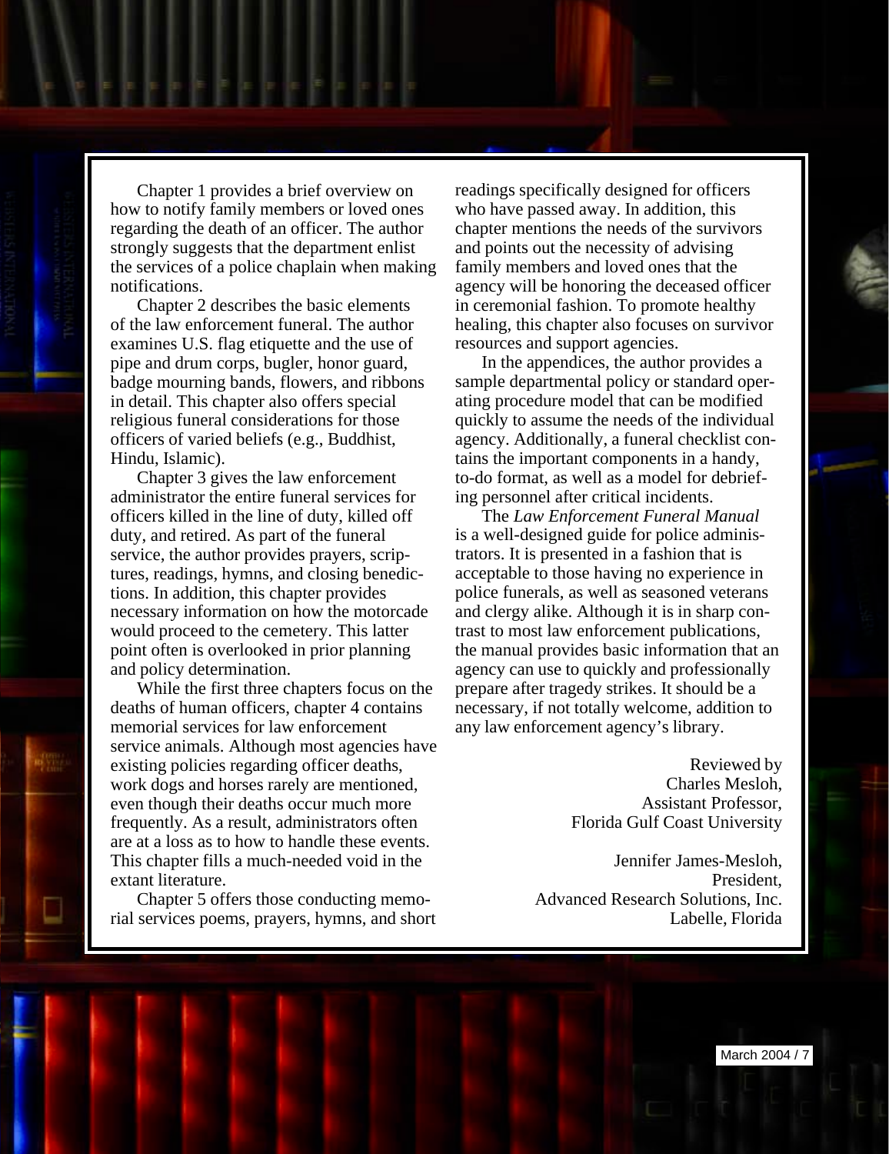Chapter 1 provides a brief overview on how to notify family members or loved ones regarding the death of an officer. The author strongly suggests that the department enlist the services of a police chaplain when making notifications.

Chapter 2 describes the basic elements of the law enforcement funeral. The author examines U.S. flag etiquette and the use of pipe and drum corps, bugler, honor guard, badge mourning bands, flowers, and ribbons in detail. This chapter also offers special religious funeral considerations for those officers of varied beliefs (e.g., Buddhist, Hindu, Islamic).

Chapter 3 gives the law enforcement administrator the entire funeral services for officers killed in the line of duty, killed off duty, and retired. As part of the funeral service, the author provides prayers, scriptures, readings, hymns, and closing benedictions. In addition, this chapter provides necessary information on how the motorcade would proceed to the cemetery. This latter point often is overlooked in prior planning and policy determination.

While the first three chapters focus on the deaths of human officers, chapter 4 contains memorial services for law enforcement service animals. Although most agencies have existing policies regarding officer deaths, work dogs and horses rarely are mentioned, even though their deaths occur much more frequently. As a result, administrators often are at a loss as to how to handle these events. This chapter fills a much-needed void in the extant literature.

Chapter 5 offers those conducting memorial services poems, prayers, hymns, and short

readings specifically designed for officers who have passed away. In addition, this chapter mentions the needs of the survivors and points out the necessity of advising family members and loved ones that the agency will be honoring the deceased officer in ceremonial fashion. To promote healthy healing, this chapter also focuses on survivor resources and support agencies.

In the appendices, the author provides a sample departmental policy or standard operating procedure model that can be modified quickly to assume the needs of the individual agency. Additionally, a funeral checklist contains the important components in a handy, to-do format, as well as a model for debriefing personnel after critical incidents.

The *Law Enforcement Funeral Manual* is a well-designed guide for police administrators. It is presented in a fashion that is acceptable to those having no experience in police funerals, as well as seasoned veterans and clergy alike. Although it is in sharp contrast to most law enforcement publications, the manual provides basic information that an agency can use to quickly and professionally prepare after tragedy strikes. It should be a necessary, if not totally welcome, addition to any law enforcement agency's library.

> Reviewed by Charles Mesloh, Assistant Professor, Florida Gulf Coast University

Jennifer James-Mesloh, President, Advanced Research Solutions, Inc. Labelle, Florida

March 2004 / 7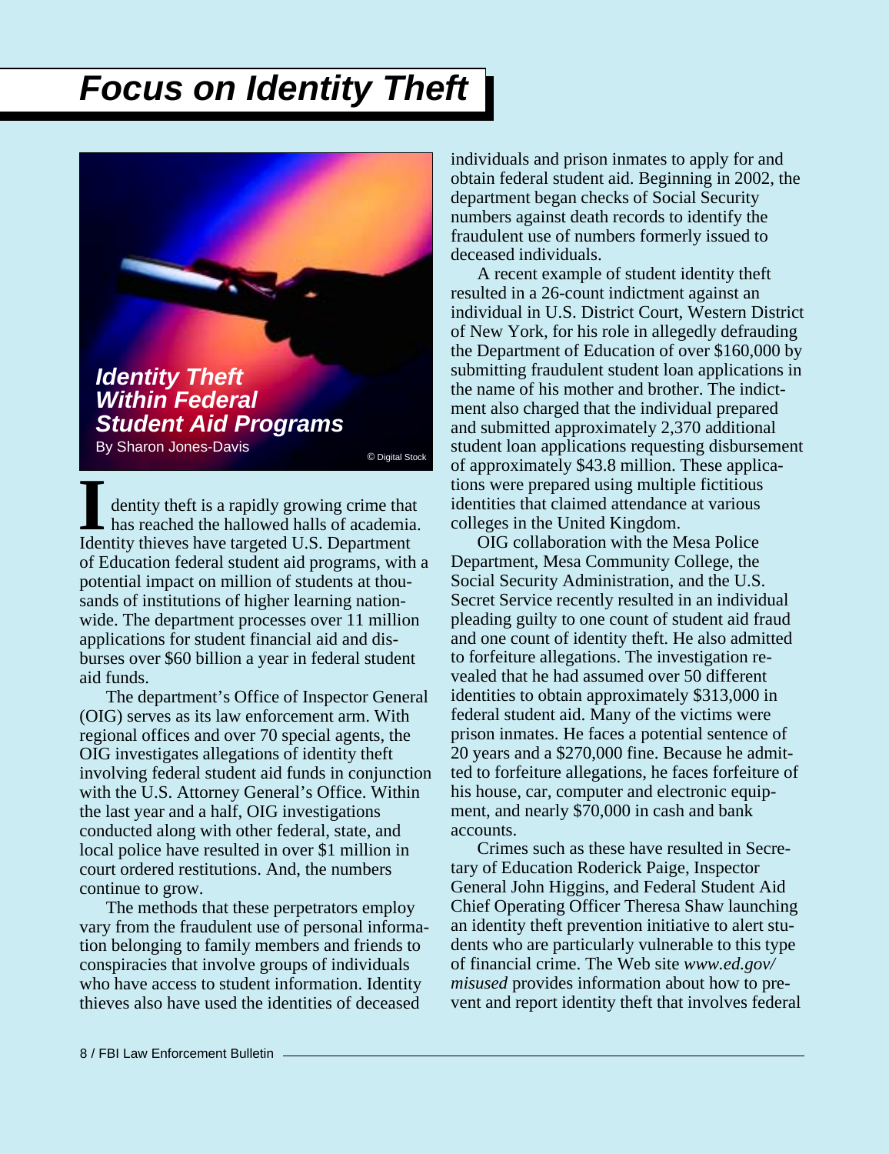# <span id="page-8-0"></span>*Focus on Identity Theft*

*Identity Theft Within Federal Student Aid Programs* By Sharon Jones-Davis

dentity theft is a rapidly growing crime that<br>has reached the hallowed halls of academist<br>Identity thieves have targeted U.S. Department of Education federal student aid programs, with a potential impact on million of students at thousands of institutions of higher learning nationwide. The department processes over 11 million applications for student financial aid and disburses over \$60 billion a year in federal student aid funds. dentity theft is a rapidly growing crime that has reached the hallowed halls of academia.

The department's Office of Inspector General (OIG) serves as its law enforcement arm. With regional offices and over 70 special agents, the OIG investigates allegations of identity theft involving federal student aid funds in conjunction with the U.S. Attorney General's Office. Within the last year and a half, OIG investigations conducted along with other federal, state, and local police have resulted in over \$1 million in court ordered restitutions. And, the numbers continue to grow.

The methods that these perpetrators employ vary from the fraudulent use of personal information belonging to family members and friends to conspiracies that involve groups of individuals who have access to student information. Identity thieves also have used the identities of deceased

individuals and prison inmates to apply for and obtain federal student aid. Beginning in 2002, the department began checks of Social Security numbers against death records to identify the fraudulent use of numbers formerly issued to deceased individuals.

A recent example of student identity theft resulted in a 26-count indictment against an individual in U.S. District Court, Western District of New York, for his role in allegedly defrauding the Department of Education of over \$160,000 by submitting fraudulent student loan applications in the name of his mother and brother. The indictment also charged that the individual prepared and submitted approximately 2,370 additional student loan applications requesting disbursement of approximately \$43.8 million. These applications were prepared using multiple fictitious identities that claimed attendance at various colleges in the United Kingdom.

OIG collaboration with the Mesa Police Department, Mesa Community College, the Social Security Administration, and the U.S. Secret Service recently resulted in an individual pleading guilty to one count of student aid fraud and one count of identity theft. He also admitted to forfeiture allegations. The investigation revealed that he had assumed over 50 different identities to obtain approximately \$313,000 in federal student aid. Many of the victims were prison inmates. He faces a potential sentence of 20 years and a \$270,000 fine. Because he admitted to forfeiture allegations, he faces forfeiture of his house, car, computer and electronic equipment, and nearly \$70,000 in cash and bank accounts.

Crimes such as these have resulted in Secretary of Education Roderick Paige, Inspector General John Higgins, and Federal Student Aid Chief Operating Officer Theresa Shaw launching an identity theft prevention initiative to alert students who are particularly vulnerable to this type of financial crime. The Web site *www.ed.gov/ misused* provides information about how to prevent and report identity theft that involves federal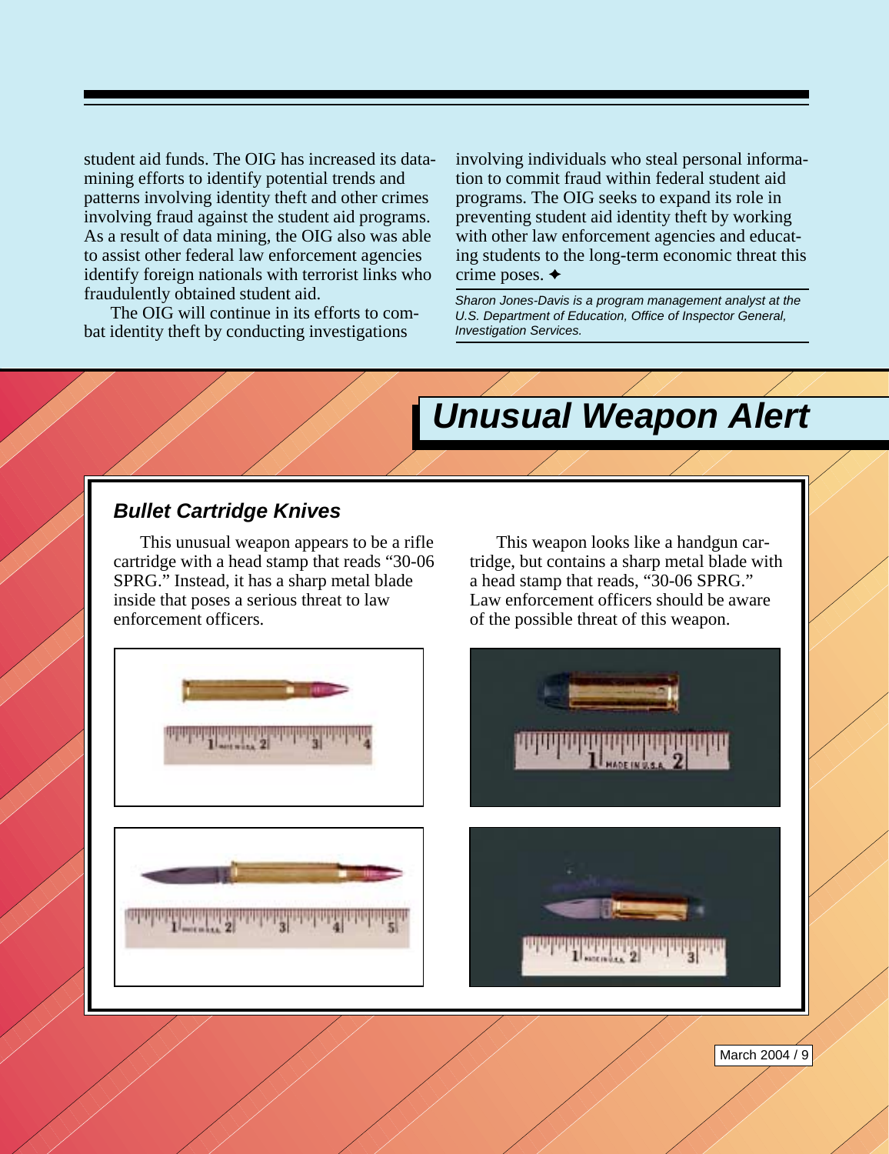<span id="page-9-0"></span>student aid funds. The OIG has increased its datamining efforts to identify potential trends and patterns involving identity theft and other crimes involving fraud against the student aid programs. As a result of data mining, the OIG also was able to assist other federal law enforcement agencies identify foreign nationals with terrorist links who fraudulently obtained student aid.

The OIG will continue in its efforts to combat identity theft by conducting investigations

involving individuals who steal personal information to commit fraud within federal student aid programs. The OIG seeks to expand its role in preventing student aid identity theft by working with other law enforcement agencies and educating students to the long-term economic threat this crime poses.  $\triangleleft$ 

*Sharon Jones-Davis is a program management analyst at the U.S. Department of Education, Office of Inspector General, Investigation Services.*

# *Unusual Weapon Alert*

### *Bullet Cartridge Knives*

This unusual weapon appears to be a rifle cartridge with a head stamp that reads "30-06 SPRG." Instead, it has a sharp metal blade inside that poses a serious threat to law enforcement officers.

This weapon looks like a handgun cartridge, but contains a sharp metal blade with a head stamp that reads, "30-06 SPRG." Law enforcement officers should be aware of the possible threat of this weapon.

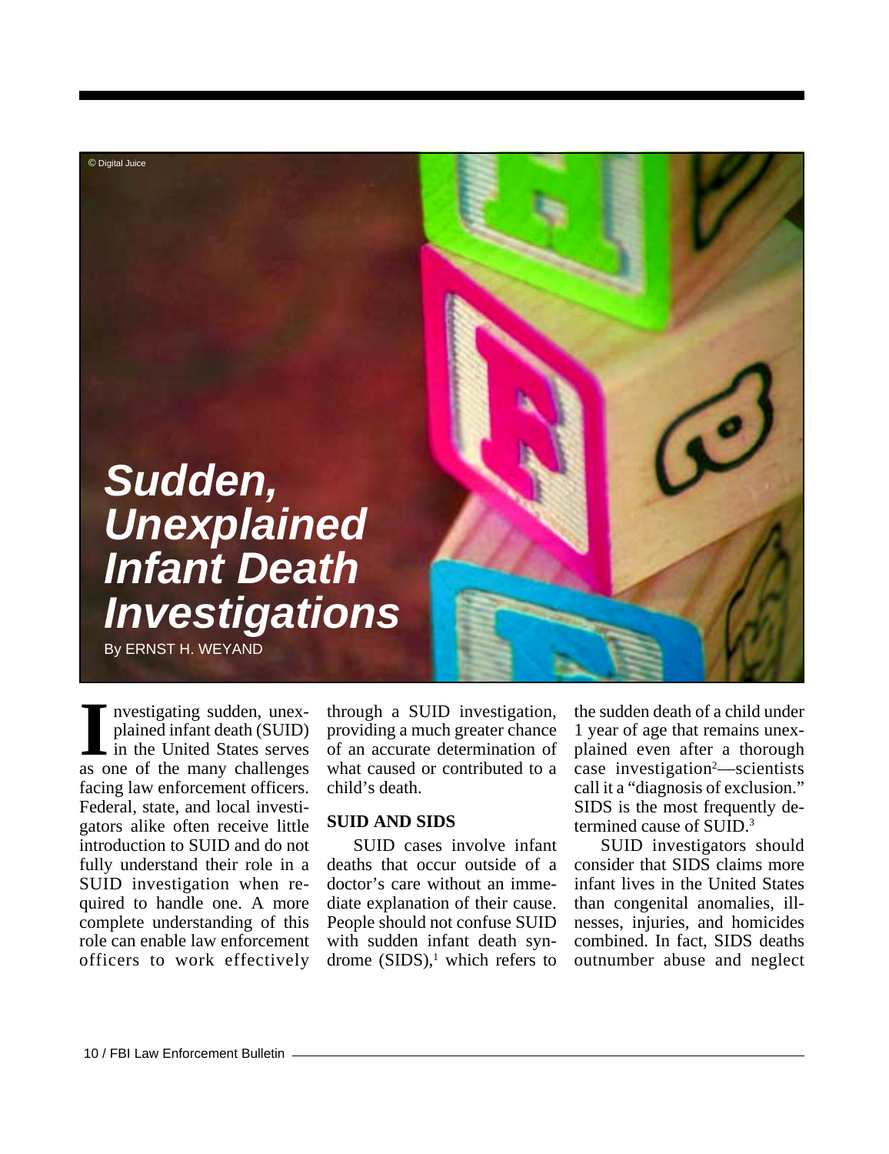<span id="page-10-0"></span>

nvestigating sudden, unexplained infant death (SUID) in the United States serves **IVEN** Investigating sudden, unex-<br>plained infant death (SUID)<br>in the United States serves<br>as one of the many challenges facing law enforcement officers. Federal, state, and local investigators alike often receive little introduction to SUID and do not fully understand their role in a SUID investigation when required to handle one. A more complete understanding of this role can enable law enforcement officers to work effectively

through a SUID investigation, providing a much greater chance of an accurate determination of what caused or contributed to a child's death.

#### **SUID AND SIDS**

SUID cases involve infant deaths that occur outside of a doctor's care without an immediate explanation of their cause. People should not confuse SUID with sudden infant death syndrome  $(SIDS)$ ,<sup>1</sup> which refers to

the sudden death of a child under 1 year of age that remains unexplained even after a thorough case investigation<sup>2</sup>—scientists call it a "diagnosis of exclusion." SIDS is the most frequently determined cause of SUID.<sup>3</sup>

SUID investigators should consider that SIDS claims more infant lives in the United States than congenital anomalies, illnesses, injuries, and homicides combined. In fact, SIDS deaths outnumber abuse and neglect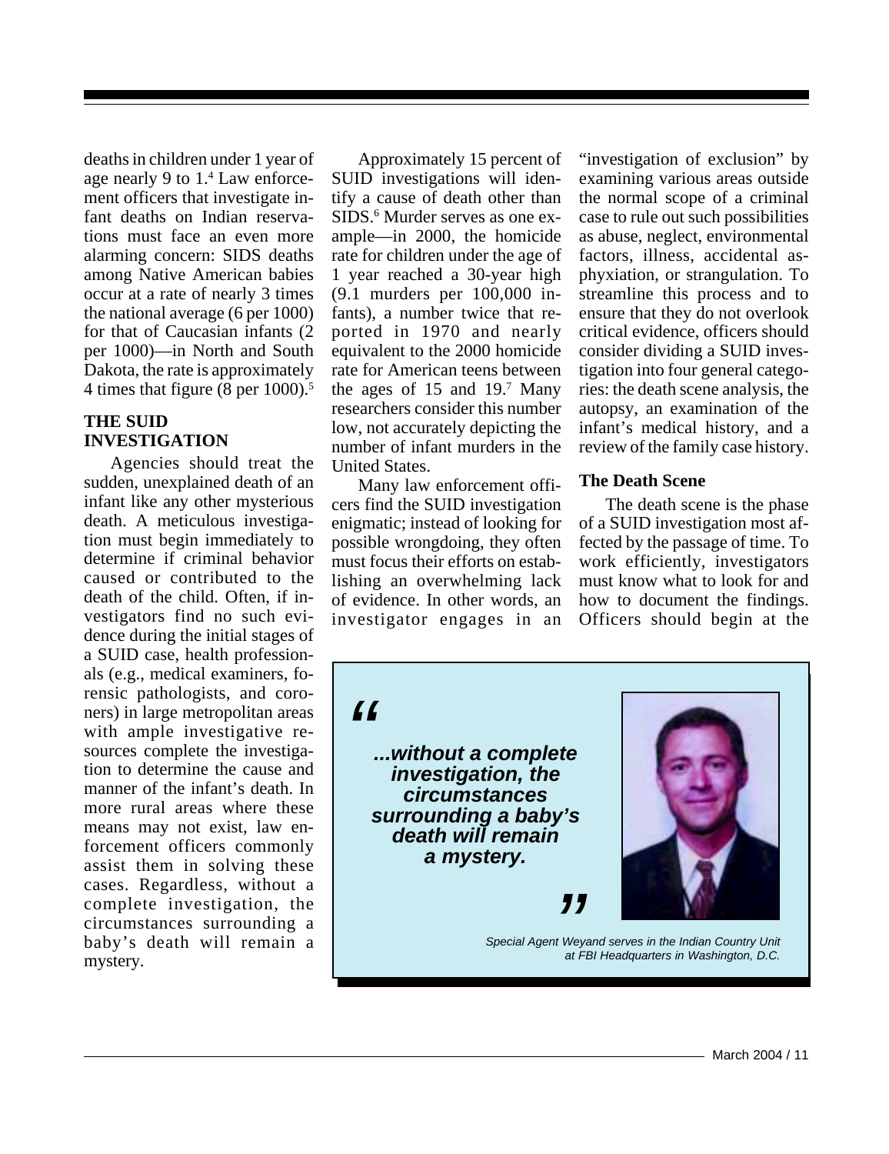deaths in children under 1 year of age nearly 9 to 1.4 Law enforcement officers that investigate infant deaths on Indian reservations must face an even more alarming concern: SIDS deaths among Native American babies occur at a rate of nearly 3 times the national average (6 per 1000) for that of Caucasian infants (2 per 1000)—in North and South Dakota, the rate is approximately 4 times that figure (8 per 1000).5

### **THE SUID INVESTIGATION**

Agencies should treat the sudden, unexplained death of an infant like any other mysterious death. A meticulous investigation must begin immediately to determine if criminal behavior caused or contributed to the death of the child. Often, if investigators find no such evidence during the initial stages of a SUID case, health professionals (e.g., medical examiners, forensic pathologists, and coroners) in large metropolitan areas with ample investigative resources complete the investigation to determine the cause and manner of the infant's death. In more rural areas where these means may not exist, law enforcement officers commonly assist them in solving these cases. Regardless, without a complete investigation, the circumstances surrounding a baby's death will remain a mystery.

Approximately 15 percent of SUID investigations will identify a cause of death other than SIDS.<sup>6</sup> Murder serves as one example—in 2000, the homicide rate for children under the age of 1 year reached a 30-year high (9.1 murders per 100,000 infants), a number twice that reported in 1970 and nearly equivalent to the 2000 homicide rate for American teens between the ages of  $15$  and  $19$ .<sup>7</sup> Many researchers consider this number low, not accurately depicting the number of infant murders in the United States.

Many law enforcement officers find the SUID investigation enigmatic; instead of looking for possible wrongdoing, they often must focus their efforts on establishing an overwhelming lack of evidence. In other words, an investigator engages in an

"investigation of exclusion" by examining various areas outside the normal scope of a criminal case to rule out such possibilities as abuse, neglect, environmental factors, illness, accidental asphyxiation, or strangulation. To streamline this process and to ensure that they do not overlook critical evidence, officers should consider dividing a SUID investigation into four general categories: the death scene analysis, the autopsy, an examination of the infant's medical history, and a review of the family case history.

### **The Death Scene**

The death scene is the phase of a SUID investigation most affected by the passage of time. To work efficiently, investigators must know what to look for and how to document the findings. Officers should begin at the

*"*

*...without a complete investigation, the circumstances surrounding a baby's death will remain a mystery.*



*Special Agent Weyand serves in the Indian Country Unit at FBI Headquarters in Washington, D.C.*

*"*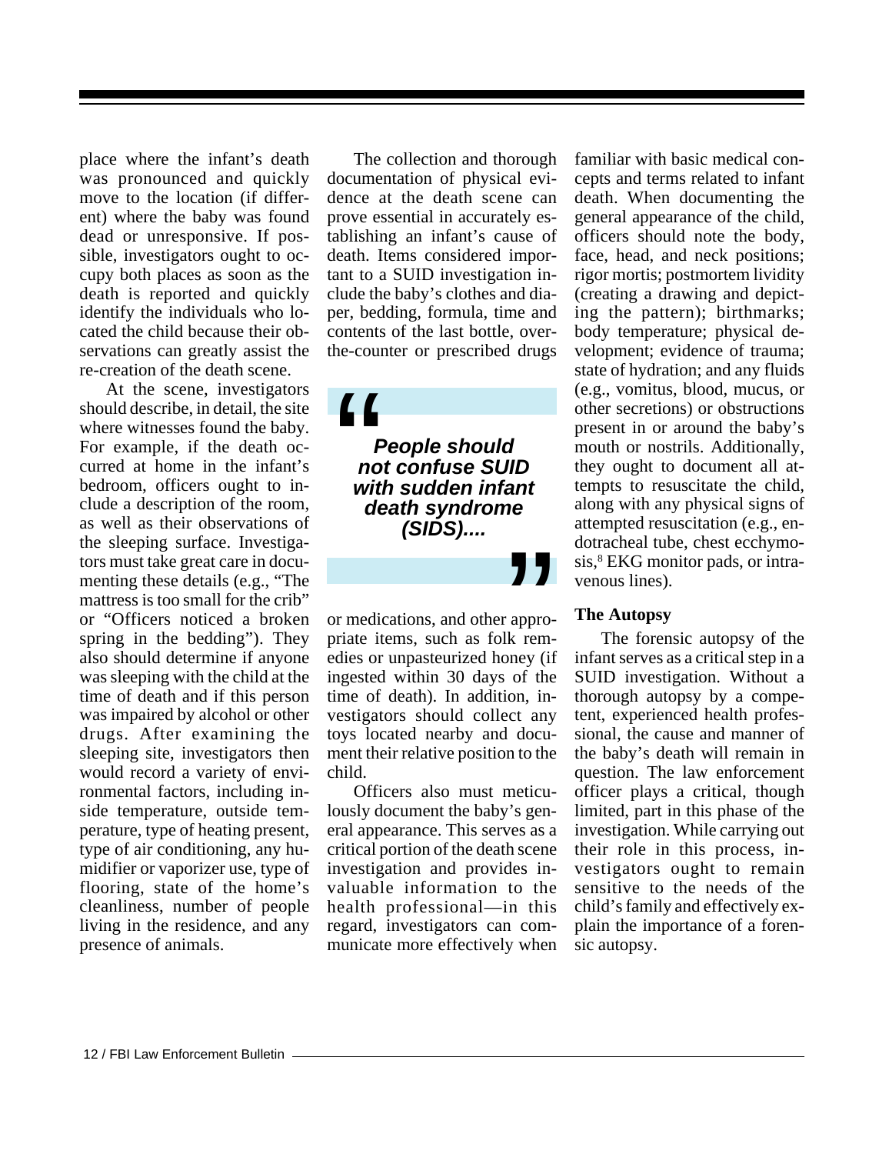place where the infant's death was pronounced and quickly move to the location (if different) where the baby was found dead or unresponsive. If possible, investigators ought to occupy both places as soon as the death is reported and quickly identify the individuals who located the child because their observations can greatly assist the re-creation of the death scene.

At the scene, investigators should describe, in detail, the site where witnesses found the baby. For example, if the death occurred at home in the infant's bedroom, officers ought to include a description of the room, as well as their observations of the sleeping surface. Investigators must take great care in documenting these details (e.g., "The mattress is too small for the crib" or "Officers noticed a broken spring in the bedding"). They also should determine if anyone was sleeping with the child at the time of death and if this person was impaired by alcohol or other drugs. After examining the sleeping site, investigators then would record a variety of environmental factors, including inside temperature, outside temperature, type of heating present, type of air conditioning, any humidifier or vaporizer use, type of flooring, state of the home's cleanliness, number of people living in the residence, and any presence of animals.

The collection and thorough documentation of physical evidence at the death scene can prove essential in accurately establishing an infant's cause of death. Items considered important to a SUID investigation include the baby's clothes and diaper, bedding, formula, time and contents of the last bottle, overthe-counter or prescribed drugs

*People should not confuse SUID with sudden infant death syndrome (SIDS)....*  $\left\{\begin{array}{c}\right\}$   $\uparrow$   $\uparrow$   $\uparrow$   $\uparrow$   $\uparrow$   $\downarrow$   $\downarrow$   $\downarrow$ 

or medications, and other appropriate items, such as folk remedies or unpasteurized honey (if ingested within 30 days of the time of death). In addition, investigators should collect any toys located nearby and document their relative position to the child.

Officers also must meticulously document the baby's general appearance. This serves as a critical portion of the death scene investigation and provides invaluable information to the health professional—in this regard, investigators can communicate more effectively when

familiar with basic medical concepts and terms related to infant death. When documenting the general appearance of the child, officers should note the body, face, head, and neck positions; rigor mortis; postmortem lividity (creating a drawing and depicting the pattern); birthmarks; body temperature; physical development; evidence of trauma; state of hydration; and any fluids (e.g., vomitus, blood, mucus, or other secretions) or obstructions present in or around the baby's mouth or nostrils. Additionally, they ought to document all attempts to resuscitate the child, along with any physical signs of attempted resuscitation (e.g., endotracheal tube, chest ecchymosis,<sup>8</sup> EKG monitor pads, or intravenous lines).

#### **The Autopsy**

"

The forensic autopsy of the infant serves as a critical step in a SUID investigation. Without a thorough autopsy by a competent, experienced health professional, the cause and manner of the baby's death will remain in question. The law enforcement officer plays a critical, though limited, part in this phase of the investigation. While carrying out their role in this process, investigators ought to remain sensitive to the needs of the child's family and effectively explain the importance of a forensic autopsy.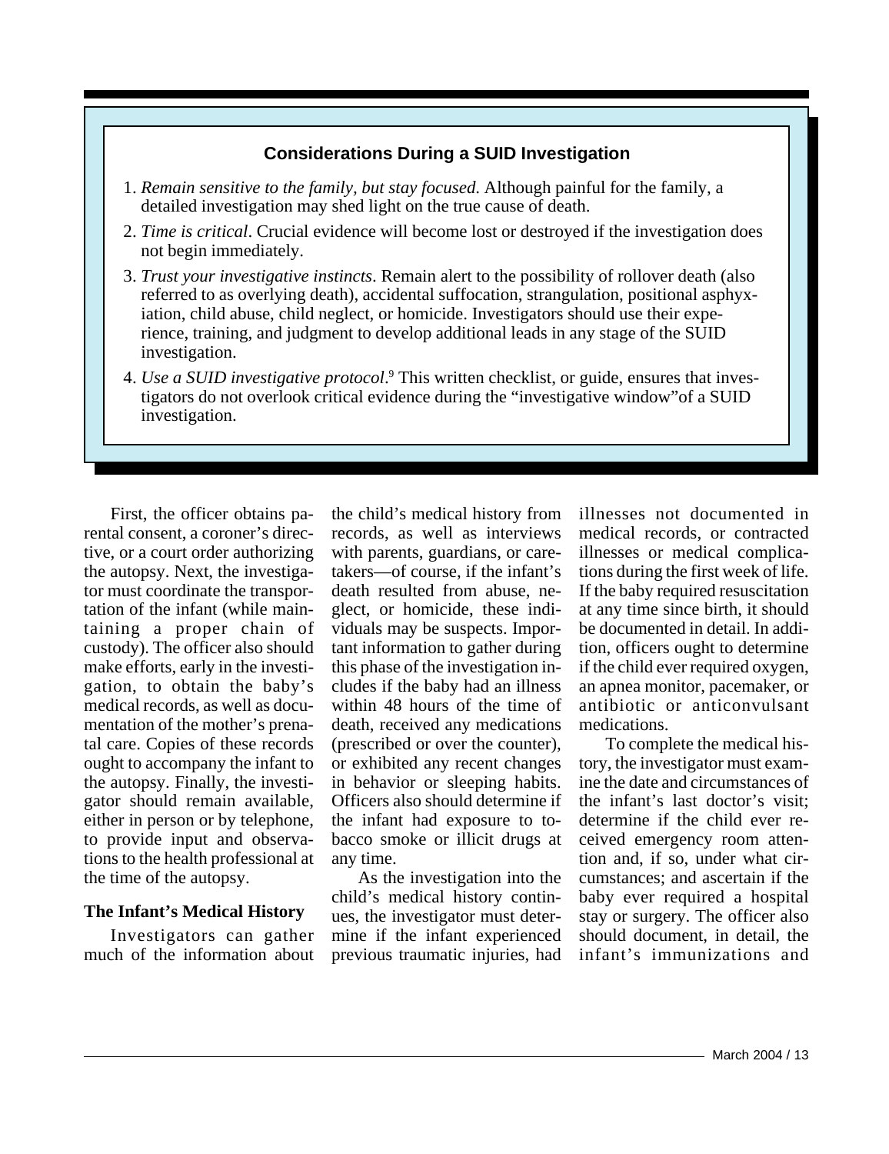### **Considerations During a SUID Investigation**

- 1. *Remain sensitive to the family, but stay focused*. Although painful for the family, a detailed investigation may shed light on the true cause of death.
- 2. *Time is critical*. Crucial evidence will become lost or destroyed if the investigation does not begin immediately.
- 3. *Trust your investigative instincts*. Remain alert to the possibility of rollover death (also referred to as overlying death), accidental suffocation, strangulation, positional asphyxiation, child abuse, child neglect, or homicide. Investigators should use their experience, training, and judgment to develop additional leads in any stage of the SUID investigation.
- 4. Use a SUID investigative protocol.<sup>9</sup> This written checklist, or guide, ensures that investigators do not overlook critical evidence during the "investigative window"of a SUID investigation.

First, the officer obtains parental consent, a coroner's directive, or a court order authorizing the autopsy. Next, the investigator must coordinate the transportation of the infant (while maintaining a proper chain of custody). The officer also should make efforts, early in the investigation, to obtain the baby's medical records, as well as documentation of the mother's prenatal care. Copies of these records ought to accompany the infant to the autopsy. Finally, the investigator should remain available, either in person or by telephone, to provide input and observations to the health professional at the time of the autopsy.

### **The Infant's Medical History**

Investigators can gather much of the information about

the child's medical history from records, as well as interviews with parents, guardians, or caretakers—of course, if the infant's death resulted from abuse, neglect, or homicide, these individuals may be suspects. Important information to gather during this phase of the investigation includes if the baby had an illness within 48 hours of the time of death, received any medications (prescribed or over the counter), or exhibited any recent changes in behavior or sleeping habits. Officers also should determine if the infant had exposure to tobacco smoke or illicit drugs at any time.

As the investigation into the child's medical history continues, the investigator must determine if the infant experienced previous traumatic injuries, had

illnesses not documented in medical records, or contracted illnesses or medical complications during the first week of life. If the baby required resuscitation at any time since birth, it should be documented in detail. In addition, officers ought to determine if the child ever required oxygen, an apnea monitor, pacemaker, or antibiotic or anticonvulsant medications.

To complete the medical history, the investigator must examine the date and circumstances of the infant's last doctor's visit; determine if the child ever received emergency room attention and, if so, under what circumstances; and ascertain if the baby ever required a hospital stay or surgery. The officer also should document, in detail, the infant's immunizations and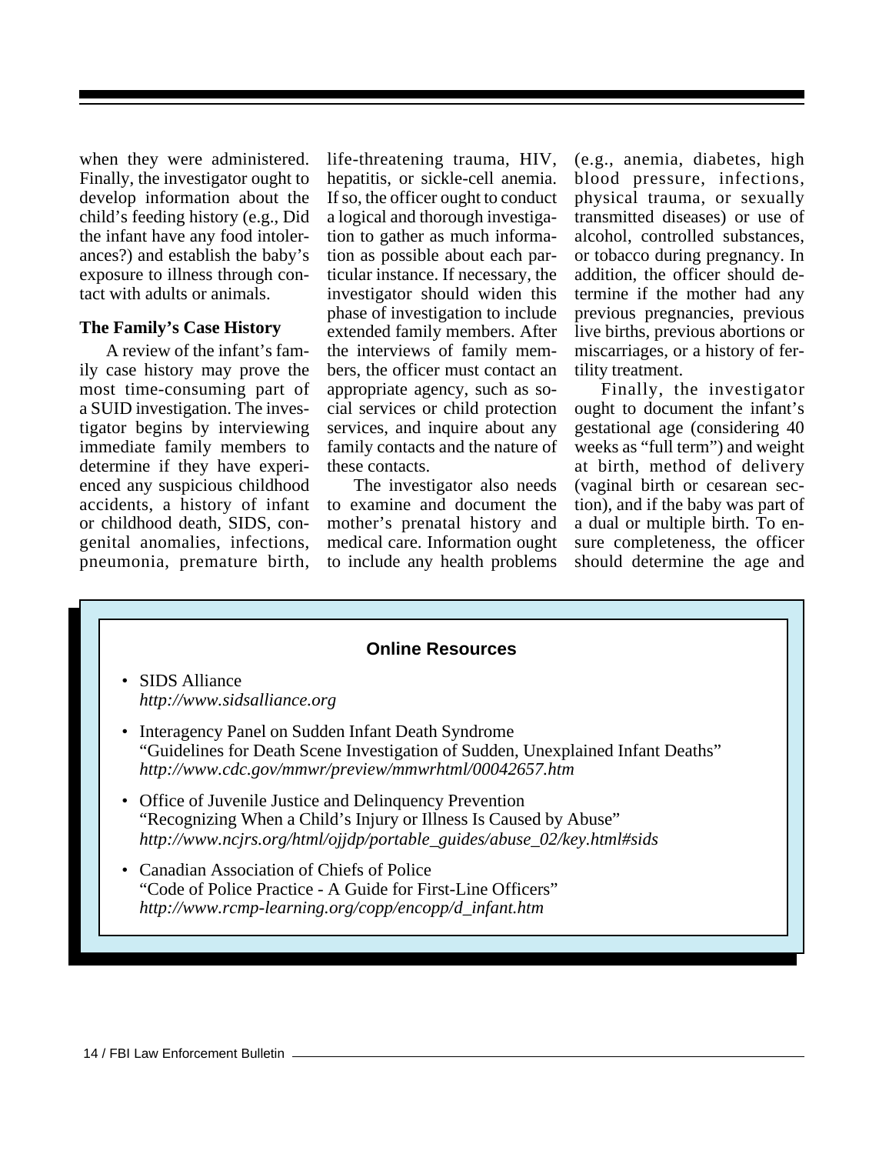when they were administered. Finally, the investigator ought to develop information about the child's feeding history (e.g., Did the infant have any food intolerances?) and establish the baby's exposure to illness through contact with adults or animals.

#### **The Family's Case History**

A review of the infant's family case history may prove the most time-consuming part of a SUID investigation. The investigator begins by interviewing immediate family members to determine if they have experienced any suspicious childhood accidents, a history of infant or childhood death, SIDS, congenital anomalies, infections, pneumonia, premature birth,

life-threatening trauma, HIV, hepatitis, or sickle-cell anemia. If so, the officer ought to conduct a logical and thorough investigation to gather as much information as possible about each particular instance. If necessary, the investigator should widen this phase of investigation to include extended family members. After the interviews of family members, the officer must contact an appropriate agency, such as social services or child protection services, and inquire about any family contacts and the nature of these contacts.

The investigator also needs to examine and document the mother's prenatal history and medical care. Information ought to include any health problems (e.g., anemia, diabetes, high blood pressure, infections, physical trauma, or sexually transmitted diseases) or use of alcohol, controlled substances, or tobacco during pregnancy. In addition, the officer should determine if the mother had any previous pregnancies, previous live births, previous abortions or miscarriages, or a history of fertility treatment.

Finally, the investigator ought to document the infant's gestational age (considering 40 weeks as "full term") and weight at birth, method of delivery (vaginal birth or cesarean section), and if the baby was part of a dual or multiple birth. To ensure completeness, the officer should determine the age and

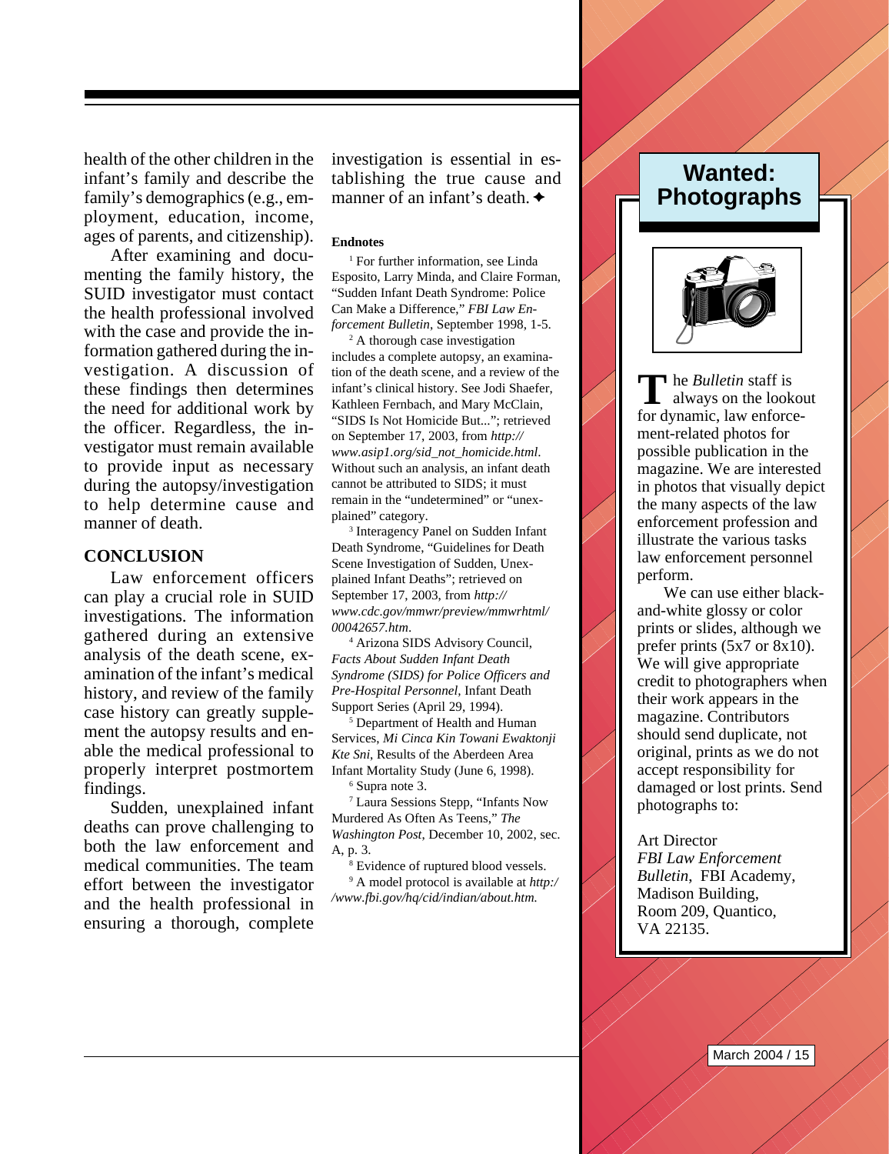health of the other children in the infant's family and describe the family's demographics (e.g., employment, education, income, ages of parents, and citizenship).

After examining and documenting the family history, the SUID investigator must contact the health professional involved with the case and provide the information gathered during the investigation. A discussion of these findings then determines the need for additional work by the officer. Regardless, the investigator must remain available to provide input as necessary during the autopsy/investigation to help determine cause and manner of death.

#### **CONCLUSION**

Law enforcement officers can play a crucial role in SUID investigations. The information gathered during an extensive analysis of the death scene, examination of the infant's medical history, and review of the family case history can greatly supplement the autopsy results and enable the medical professional to properly interpret postmortem findings.

Sudden, unexplained infant deaths can prove challenging to both the law enforcement and medical communities. The team effort between the investigator and the health professional in ensuring a thorough, complete

investigation is essential in establishing the true cause and manner of an infant's death.  $\triangle$ 

#### **Endnotes**

<sup>1</sup> For further information, see Linda Esposito, Larry Minda, and Claire Forman, "Sudden Infant Death Syndrome: Police Can Make a Difference," *FBI Law Enforcement Bulletin*, September 1998, 1-5.

<sup>2</sup> A thorough case investigation includes a complete autopsy, an examination of the death scene, and a review of the infant's clinical history. See Jodi Shaefer, Kathleen Fernbach, and Mary McClain, "SIDS Is Not Homicide But..."; retrieved on September 17, 2003, from *http:// www.asip1.org/sid\_not\_homicide.html*. Without such an analysis, an infant death cannot be attributed to SIDS; it must remain in the "undetermined" or "unexplained" category.

3 Interagency Panel on Sudden Infant Death Syndrome, "Guidelines for Death Scene Investigation of Sudden, Unexplained Infant Deaths"; retrieved on September 17, 2003, from *http:// www.cdc.gov/mmwr/preview/mmwrhtml/ 00042657.htm*.

4 Arizona SIDS Advisory Council, *Facts About Sudden Infant Death Syndrome (SIDS) for Police Officers and Pre-Hospital Personnel,* Infant Death Support Series (April 29, 1994).

5 Department of Health and Human Services, *Mi Cinca Kin Towani Ewaktonji Kte Sni*, Results of the Aberdeen Area Infant Mortality Study (June 6, 1998). 6 Supra note 3.

7 Laura Sessions Stepp, "Infants Now Murdered As Often As Teens," *The Washington Post*, December 10, 2002, sec. A, p. 3.

8 Evidence of ruptured blood vessels.

9 A model protocol is available at *http:/ /www.fbi.gov/hq/cid/indian/about.htm*.

## **Wanted: Photographs**



**h P**alletin staff is **T**always on the lookout for dynamic, law enforcement-related photos for possible publication in the magazine. We are interested in photos that visually depict the many aspects of the law enforcement profession and illustrate the various tasks law enforcement personnel perform.

We can use either blackand-white glossy or color prints or slides, although we prefer prints (5x7 or 8x10). We will give appropriate credit to photographers when their work appears in the magazine. Contributors should send duplicate, not original, prints as we do not accept responsibility for damaged or lost prints. Send photographs to:

Art Director *FBI Law Enforcement Bulletin*, FBI Academy, Madison Building, Room 209, Quantico, VA 22135.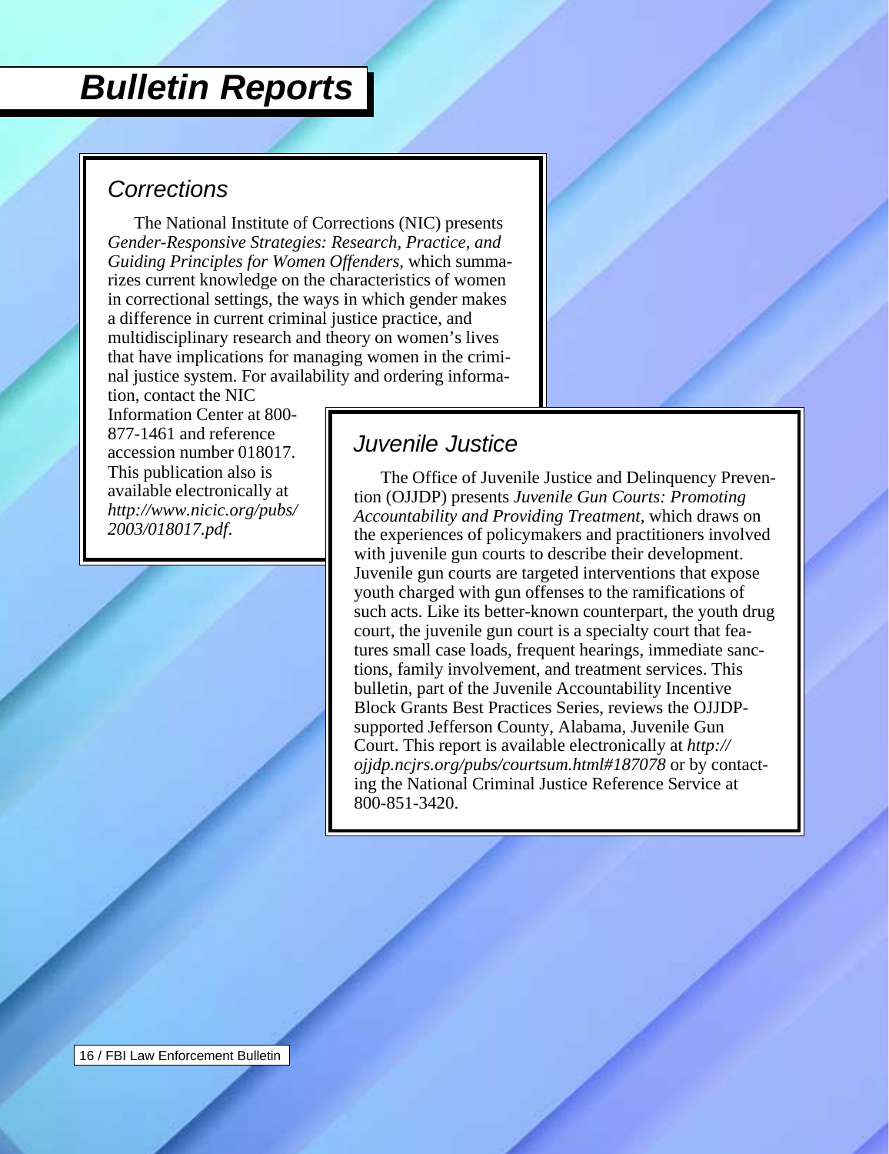# <span id="page-16-0"></span>*Bulletin Reports*

### *Corrections*

The National Institute of Corrections (NIC) presents *Gender-Responsive Strategies: Research, Practice, and Guiding Principles for Women Offenders,* which summarizes current knowledge on the characteristics of women in correctional settings, the ways in which gender makes a difference in current criminal justice practice, and multidisciplinary research and theory on women's lives that have implications for managing women in the criminal justice system. For availability and ordering informa-

tion, contact the NIC Information Center at 800- 877-1461 and reference accession number 018017. This publication also is available electronically at *http://www.nicic.org/pubs/ 2003/018017.pdf*.

## *Juvenile Justice*

The Office of Juvenile Justice and Delinquency Prevention (OJJDP) presents *Juvenile Gun Courts: Promoting Accountability and Providing Treatment,* which draws on the experiences of policymakers and practitioners involved with juvenile gun courts to describe their development. Juvenile gun courts are targeted interventions that expose youth charged with gun offenses to the ramifications of such acts. Like its better-known counterpart, the youth drug court, the juvenile gun court is a specialty court that features small case loads, frequent hearings, immediate sanctions, family involvement, and treatment services. This bulletin, part of the Juvenile Accountability Incentive Block Grants Best Practices Series, reviews the OJJDPsupported Jefferson County, Alabama, Juvenile Gun Court. This report is available electronically at *http:// ojjdp.ncjrs.org/pubs/courtsum.html#187078* or by contacting the National Criminal Justice Reference Service at 800-851-3420.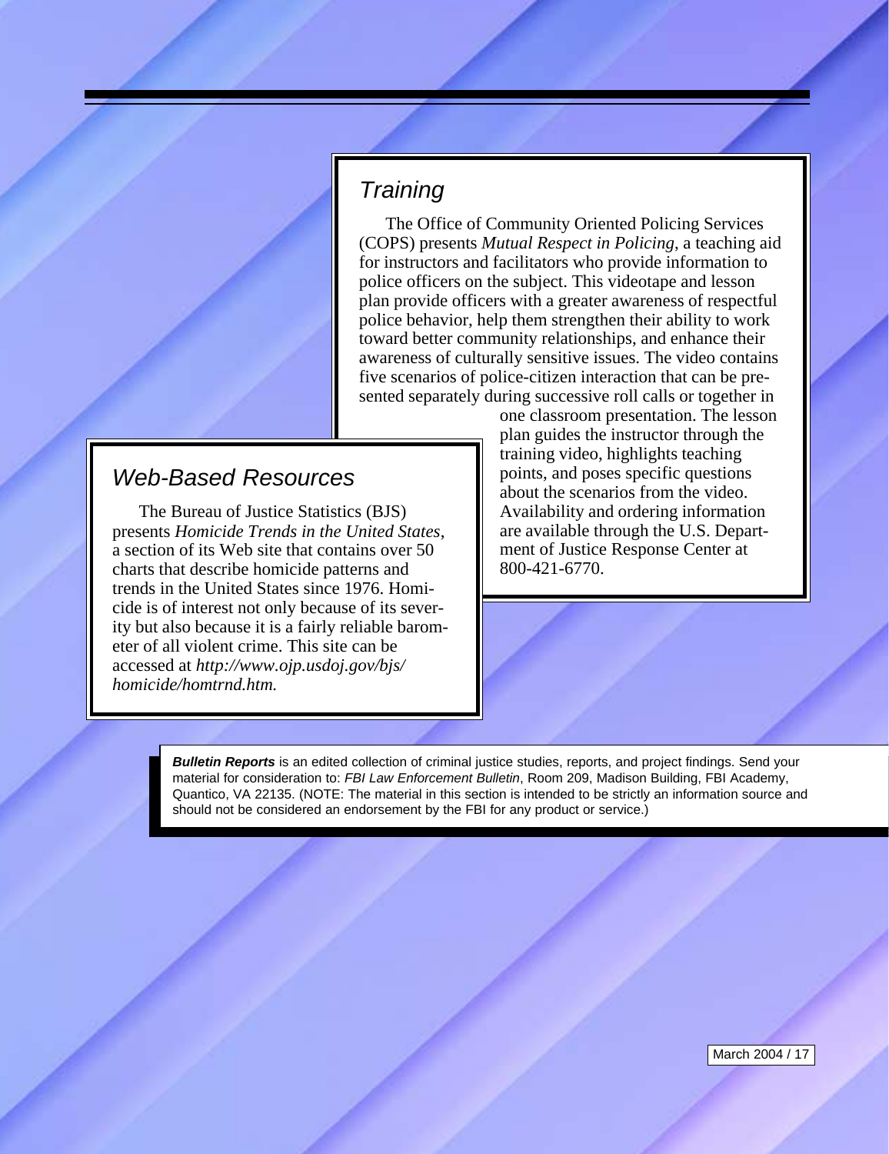### *Training*

The Office of Community Oriented Policing Services (COPS) presents *Mutual Respect in Policing*, a teaching aid for instructors and facilitators who provide information to police officers on the subject. This videotape and lesson plan provide officers with a greater awareness of respectful police behavior, help them strengthen their ability to work toward better community relationships, and enhance their awareness of culturally sensitive issues. The video contains five scenarios of police-citizen interaction that can be presented separately during successive roll calls or together in

## *Web-Based Resources*

The Bureau of Justice Statistics (BJS) presents *Homicide Trends in the United States*, a section of its Web site that contains over 50 charts that describe homicide patterns and trends in the United States since 1976. Homicide is of interest not only because of its severity but also because it is a fairly reliable barometer of all violent crime. This site can be accessed at *http://www.ojp.usdoj.gov/bjs/ homicide/homtrnd.htm.*

one classroom presentation. The lesson plan guides the instructor through the training video, highlights teaching points, and poses specific questions about the scenarios from the video. Availability and ordering information are available through the U.S. Department of Justice Response Center at 800-421-6770.

*Bulletin Reports* is an edited collection of criminal justice studies, reports, and project findings. Send your material for consideration to: *FBI Law Enforcement Bulletin*, Room 209, Madison Building, FBI Academy, Quantico, VA 22135. (NOTE: The material in this section is intended to be strictly an information source and should not be considered an endorsement by the FBI for any product or service.)

March 2004 / 17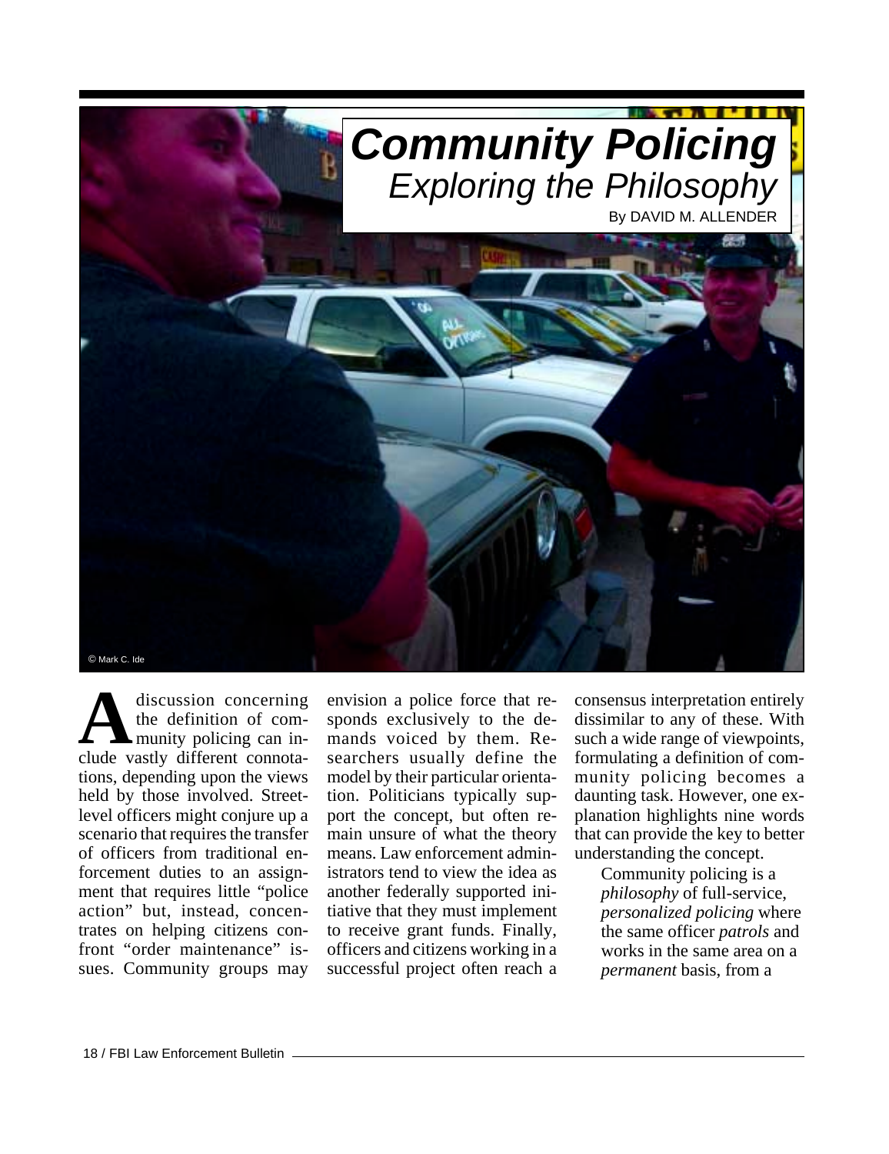<span id="page-18-0"></span>

discussion concerning the definition of community policing can indiscussion concerning<br>the definition of com-<br>clude vastly different connotations, depending upon the views held by those involved. Streetlevel officers might conjure up a scenario that requires the transfer of officers from traditional enforcement duties to an assignment that requires little "police action" but, instead, concentrates on helping citizens confront "order maintenance" issues. Community groups may

envision a police force that responds exclusively to the demands voiced by them. Researchers usually define the model by their particular orientation. Politicians typically support the concept, but often remain unsure of what the theory means. Law enforcement administrators tend to view the idea as another federally supported initiative that they must implement to receive grant funds. Finally, officers and citizens working in a successful project often reach a consensus interpretation entirely dissimilar to any of these. With such a wide range of viewpoints, formulating a definition of community policing becomes a daunting task. However, one explanation highlights nine words that can provide the key to better understanding the concept.

> Community policing is a *philosophy* of full-service, *personalized policing* where the same officer *patrols* and works in the same area on a *permanent* basis, from a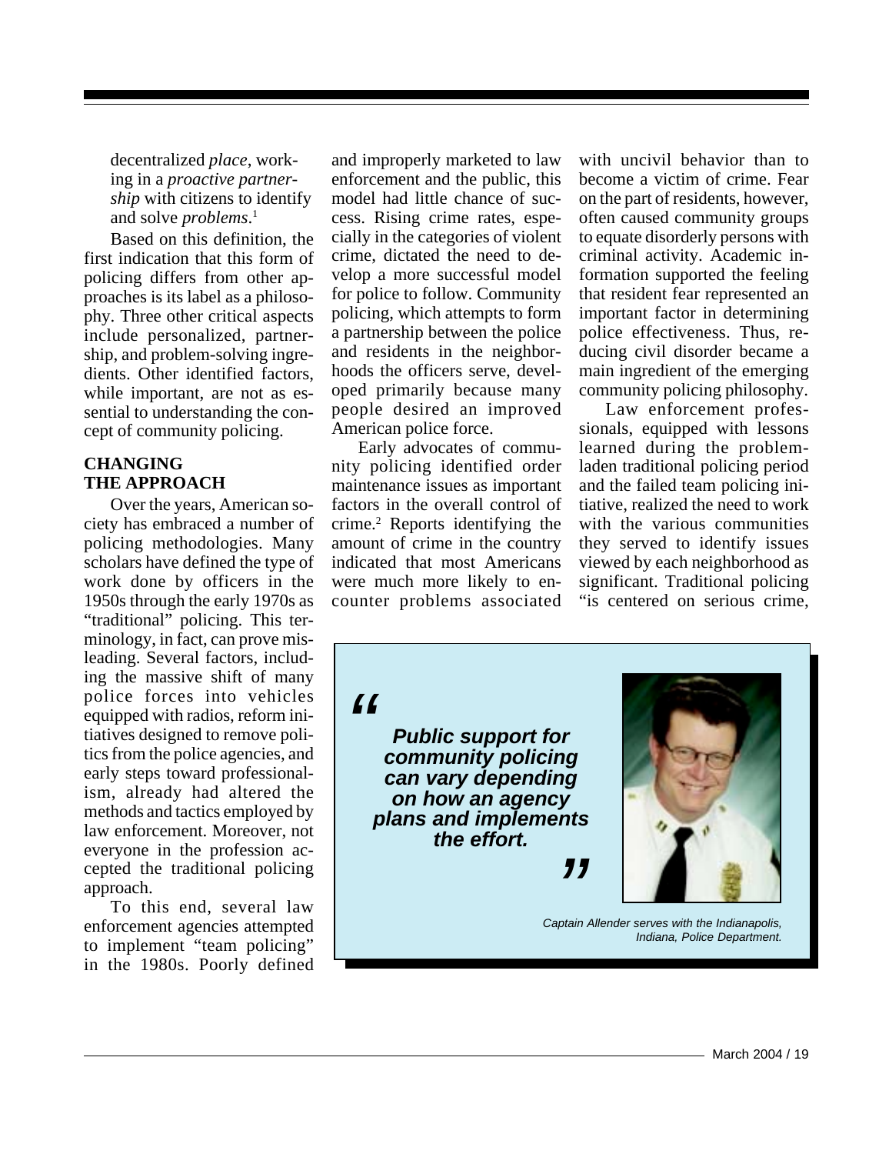decentralized *place*, working in a *proactive partnership* with citizens to identify and solve *problems*. 1

Based on this definition, the first indication that this form of policing differs from other approaches is its label as a philosophy. Three other critical aspects include personalized, partnership, and problem-solving ingredients. Other identified factors, while important, are not as essential to understanding the concept of community policing.

#### **CHANGING THE APPROACH**

Over the years, American society has embraced a number of policing methodologies. Many scholars have defined the type of work done by officers in the 1950s through the early 1970s as "traditional" policing. This terminology, in fact, can prove misleading. Several factors, including the massive shift of many police forces into vehicles equipped with radios, reform initiatives designed to remove politics from the police agencies, and early steps toward professionalism, already had altered the methods and tactics employed by law enforcement. Moreover, not everyone in the profession accepted the traditional policing approach.

To this end, several law enforcement agencies attempted to implement "team policing" in the 1980s. Poorly defined and improperly marketed to law enforcement and the public, this model had little chance of success. Rising crime rates, especially in the categories of violent crime, dictated the need to develop a more successful model for police to follow. Community policing, which attempts to form a partnership between the police and residents in the neighborhoods the officers serve, developed primarily because many people desired an improved American police force.

Early advocates of community policing identified order maintenance issues as important factors in the overall control of crime.2 Reports identifying the amount of crime in the country indicated that most Americans were much more likely to encounter problems associated

with uncivil behavior than to become a victim of crime. Fear on the part of residents, however, often caused community groups to equate disorderly persons with criminal activity. Academic information supported the feeling that resident fear represented an important factor in determining police effectiveness. Thus, reducing civil disorder became a main ingredient of the emerging community policing philosophy.

Law enforcement professionals, equipped with lessons learned during the problemladen traditional policing period and the failed team policing initiative, realized the need to work with the various communities they served to identify issues viewed by each neighborhood as significant. Traditional policing "is centered on serious crime,

*"*

*" Public support for community policing can vary depending on how an agency plans and implements the effort.*



*Captain Allender serves with the Indianapolis, Indiana, Police Department.*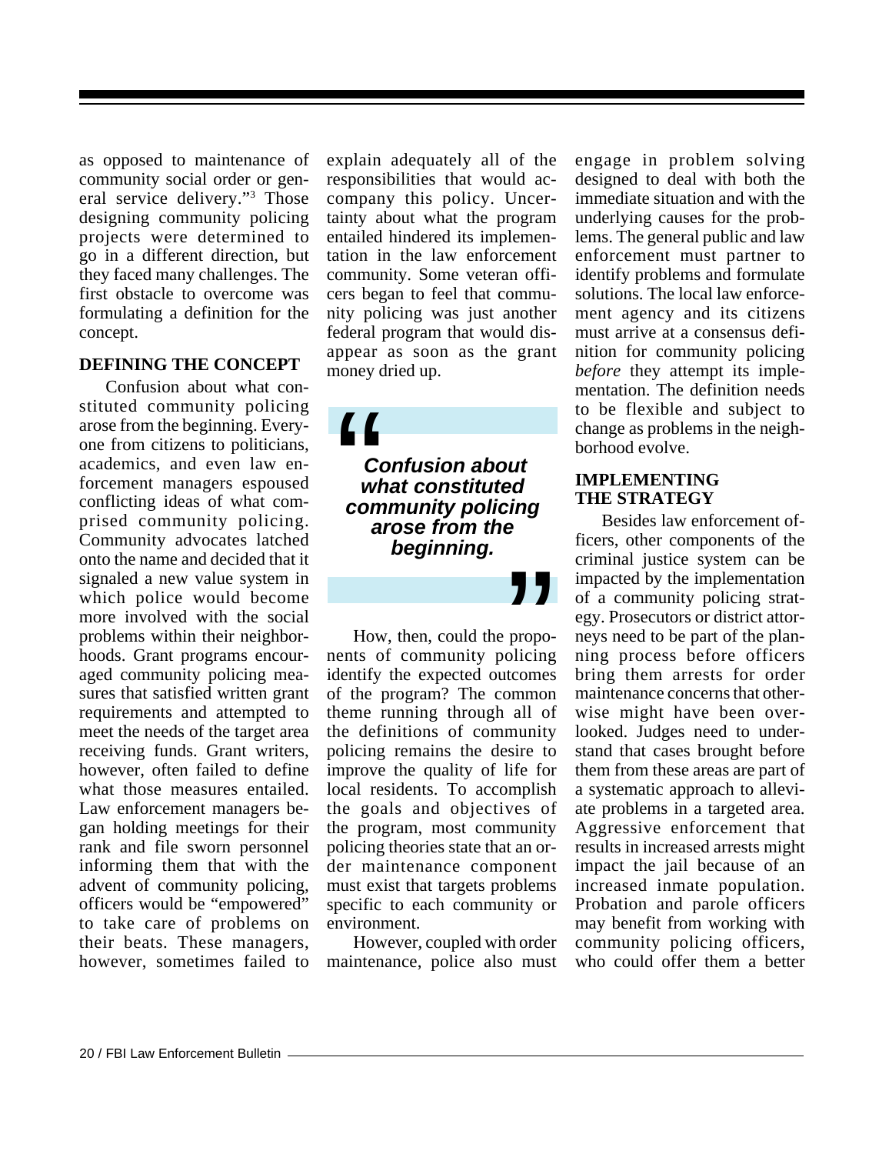as opposed to maintenance of community social order or general service delivery."3 Those designing community policing projects were determined to go in a different direction, but they faced many challenges. The first obstacle to overcome was formulating a definition for the concept.

#### **DEFINING THE CONCEPT**

Confusion about what constituted community policing arose from the beginning. Everyone from citizens to politicians, academics, and even law enforcement managers espoused conflicting ideas of what comprised community policing. Community advocates latched onto the name and decided that it signaled a new value system in which police would become more involved with the social problems within their neighborhoods. Grant programs encouraged community policing measures that satisfied written grant requirements and attempted to meet the needs of the target area receiving funds. Grant writers, however, often failed to define what those measures entailed. Law enforcement managers began holding meetings for their rank and file sworn personnel informing them that with the advent of community policing, officers would be "empowered" to take care of problems on their beats. These managers, however, sometimes failed to explain adequately all of the responsibilities that would accompany this policy. Uncertainty about what the program entailed hindered its implementation in the law enforcement community. Some veteran officers began to feel that community policing was just another federal program that would disappear as soon as the grant money dried up.

 *Confusion about what constituted community policing arose from the beginning.*  $\begin{array}{c} \mathbf{C} \mathbf{C} \\ \hline \mathbf{C} \\ \mathbf{W} \\ \mathbf{C} \mathbf{W} \\ \mathbf{C} \mathbf{O} \\ \hline \mathbf{A} \end{array}$ 

"

How, then, could the proponents of community policing identify the expected outcomes of the program? The common theme running through all of the definitions of community policing remains the desire to improve the quality of life for local residents. To accomplish the goals and objectives of the program, most community policing theories state that an order maintenance component must exist that targets problems specific to each community or environment.

However, coupled with order maintenance, police also must engage in problem solving designed to deal with both the immediate situation and with the underlying causes for the problems. The general public and law enforcement must partner to identify problems and formulate solutions. The local law enforcement agency and its citizens must arrive at a consensus definition for community policing *before* they attempt its implementation. The definition needs to be flexible and subject to change as problems in the neighborhood evolve.

#### **IMPLEMENTING THE STRATEGY**

Besides law enforcement officers, other components of the criminal justice system can be impacted by the implementation of a community policing strategy. Prosecutors or district attorneys need to be part of the planning process before officers bring them arrests for order maintenance concerns that otherwise might have been overlooked. Judges need to understand that cases brought before them from these areas are part of a systematic approach to alleviate problems in a targeted area. Aggressive enforcement that results in increased arrests might impact the jail because of an increased inmate population. Probation and parole officers may benefit from working with community policing officers, who could offer them a better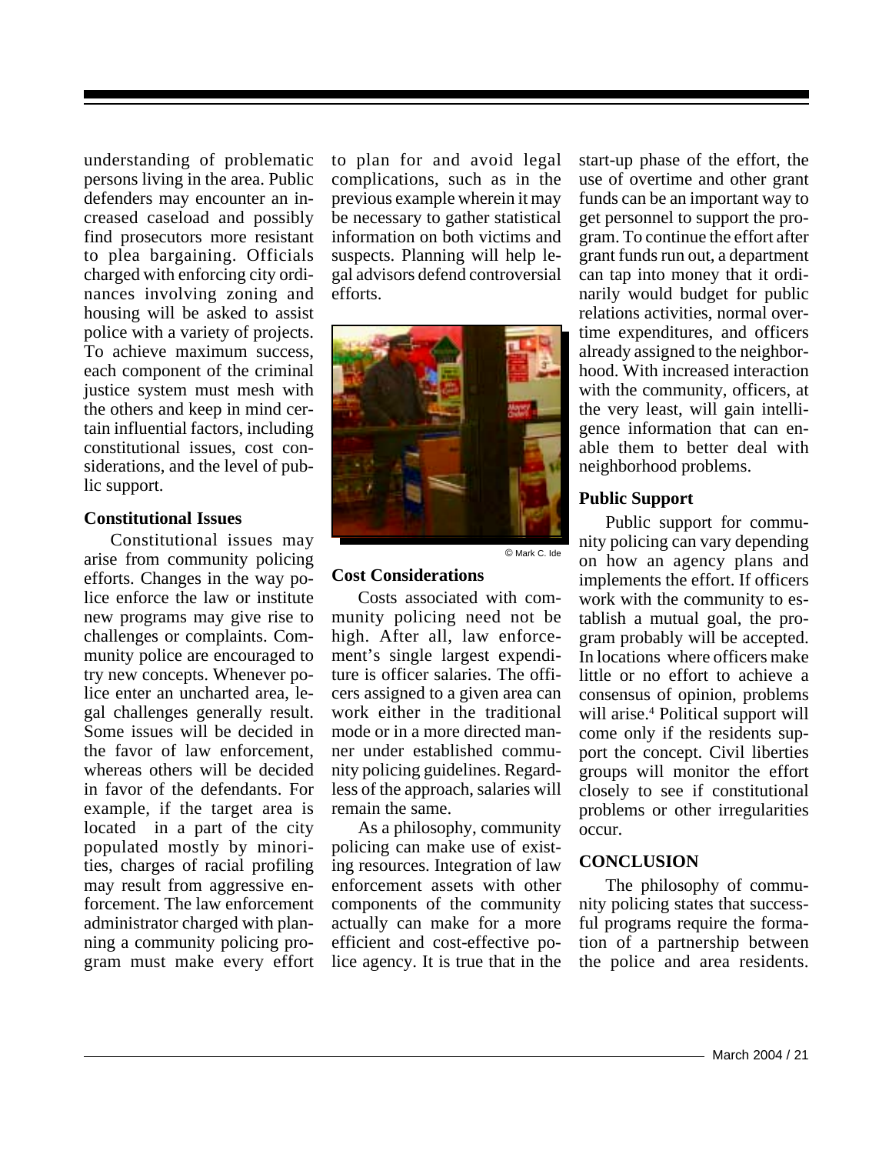understanding of problematic persons living in the area. Public defenders may encounter an increased caseload and possibly find prosecutors more resistant to plea bargaining. Officials charged with enforcing city ordinances involving zoning and housing will be asked to assist police with a variety of projects. To achieve maximum success, each component of the criminal justice system must mesh with the others and keep in mind certain influential factors, including constitutional issues, cost considerations, and the level of public support.

#### **Constitutional Issues**

Constitutional issues may arise from community policing efforts. Changes in the way police enforce the law or institute new programs may give rise to challenges or complaints. Community police are encouraged to try new concepts. Whenever police enter an uncharted area, legal challenges generally result. Some issues will be decided in the favor of law enforcement, whereas others will be decided in favor of the defendants. For example, if the target area is located in a part of the city populated mostly by minorities, charges of racial profiling may result from aggressive enforcement. The law enforcement administrator charged with planning a community policing program must make every effort

to plan for and avoid legal complications, such as in the previous example wherein it may be necessary to gather statistical information on both victims and suspects. Planning will help legal advisors defend controversial efforts.



© Mark C. Ide

#### **Cost Considerations**

Costs associated with community policing need not be high. After all, law enforcement's single largest expenditure is officer salaries. The officers assigned to a given area can work either in the traditional mode or in a more directed manner under established community policing guidelines. Regardless of the approach, salaries will remain the same.

As a philosophy, community policing can make use of existing resources. Integration of law enforcement assets with other components of the community actually can make for a more efficient and cost-effective police agency. It is true that in the

start-up phase of the effort, the use of overtime and other grant funds can be an important way to get personnel to support the program. To continue the effort after grant funds run out, a department can tap into money that it ordinarily would budget for public relations activities, normal overtime expenditures, and officers already assigned to the neighborhood. With increased interaction with the community, officers, at the very least, will gain intelligence information that can enable them to better deal with neighborhood problems.

#### **Public Support**

Public support for community policing can vary depending on how an agency plans and implements the effort. If officers work with the community to establish a mutual goal, the program probably will be accepted. In locations where officers make little or no effort to achieve a consensus of opinion, problems will arise.<sup>4</sup> Political support will come only if the residents support the concept. Civil liberties groups will monitor the effort closely to see if constitutional problems or other irregularities occur.

### **CONCLUSION**

The philosophy of community policing states that successful programs require the formation of a partnership between the police and area residents.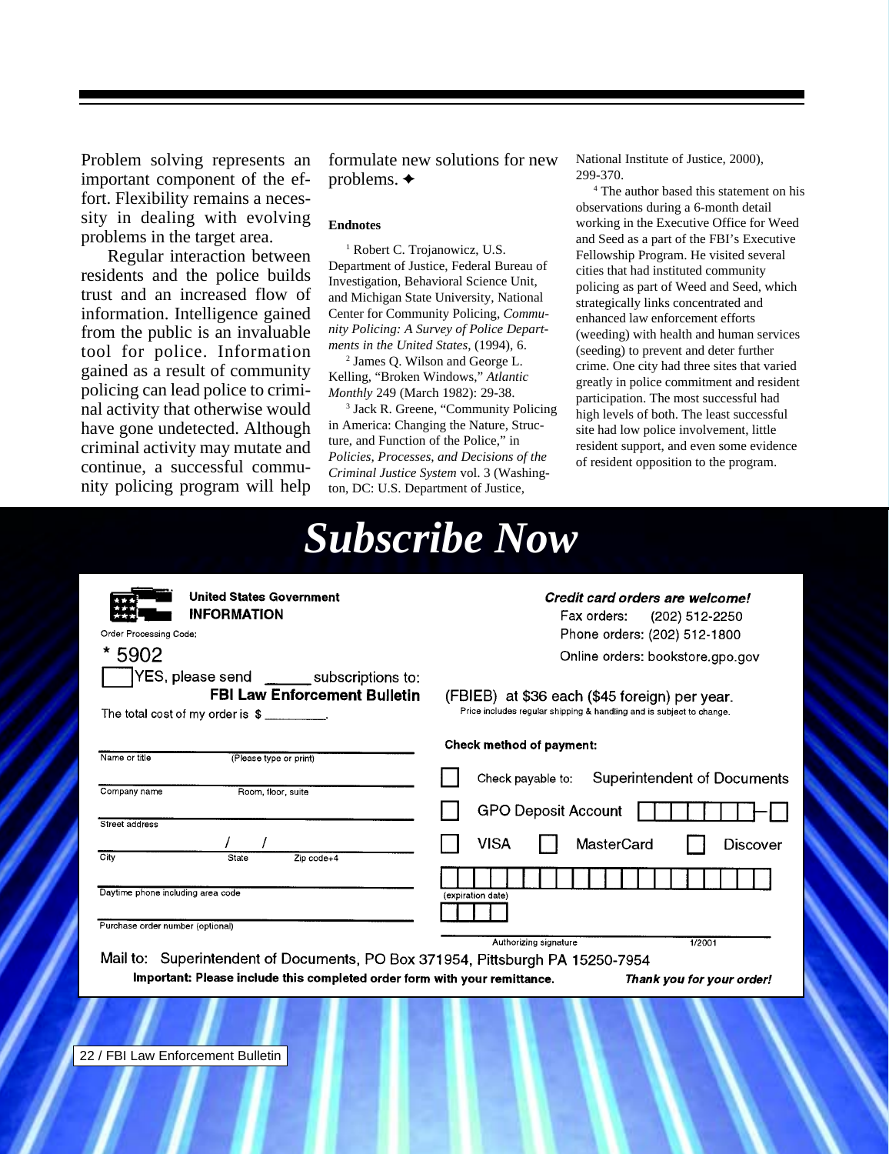Problem solving represents an important component of the effort. Flexibility remains a necessity in dealing with evolving problems in the target area.

Regular interaction between residents and the police builds trust and an increased flow of information. Intelligence gained from the public is an invaluable tool for police. Information gained as a result of community policing can lead police to criminal activity that otherwise would have gone undetected. Although criminal activity may mutate and continue, a successful community policing program will help

formulate new solutions for new problems.  $\triangleleft$ 

#### **Endnotes**

<sup>1</sup> Robert C. Trojanowicz, U.S. Department of Justice, Federal Bureau of Investigation, Behavioral Science Unit, and Michigan State University, National Center for Community Policing, *Community Policing: A Survey of Police Departments in the United States*, (1994), 6.

2 James Q. Wilson and George L. Kelling, "Broken Windows," *Atlantic Monthly* 249 (March 1982): 29-38.

3 Jack R. Greene, "Community Policing in America: Changing the Nature, Structure, and Function of the Police," in *Policies, Processes, and Decisions of the Criminal Justice System* vol. 3 (Washington, DC: U.S. Department of Justice,

National Institute of Justice, 2000), 299-370.

4 The author based this statement on his observations during a 6-month detail working in the Executive Office for Weed and Seed as a part of the FBI's Executive Fellowship Program. He visited several cities that had instituted community policing as part of Weed and Seed, which strategically links concentrated and enhanced law enforcement efforts (weeding) with health and human services (seeding) to prevent and deter further crime. One city had three sites that varied greatly in police commitment and resident participation. The most successful had high levels of both. The least successful site had low police involvement, little resident support, and even some evidence of resident opposition to the program.

|                                                                                                                                                                                                                                | <b>Subscribe Now</b>                                                                                                                                                                                                                                          |
|--------------------------------------------------------------------------------------------------------------------------------------------------------------------------------------------------------------------------------|---------------------------------------------------------------------------------------------------------------------------------------------------------------------------------------------------------------------------------------------------------------|
| <b>United States Government</b><br><b>INFORMATION</b><br>Order Processing Code:<br>5902<br>YES, please send ________ subscriptions to:<br><b>FBI Law Enforcement Bulletin</b><br>The total cost of my order is $\frac{1}{2}$ . | Credit card orders are welcome!<br>Fax orders:<br>(202) 512-2250<br>Phone orders: (202) 512-1800<br>Online orders: bookstore.gpo.gov<br>(FBIEB) at \$36 each (\$45 foreign) per year.<br>Price includes regular shipping & handling and is subject to change. |
| Name or title<br>(Please type or print)<br>Company name<br>Room, floor, suite<br>Street address<br>City<br>State<br>$Zip code+4$<br>Daytime phone including area code<br>Purchase order number (optional)                      | <b>Check method of payment:</b><br><b>Superintendent of Documents</b><br>Check payable to:<br><b>GPO Deposit Account</b><br><b>VISA</b><br>MasterCard<br><b>Discover</b><br>(expiration date)<br>Authorizing signature<br>1/2001                              |
| Mail to: Superintendent of Documents, PO Box 371954, Pittsburgh PA 15250-7954<br>Important: Please include this completed order form with your remittance.                                                                     | Thank you for your order!                                                                                                                                                                                                                                     |
| 22 / FBI Law Enforcement Bulletin                                                                                                                                                                                              |                                                                                                                                                                                                                                                               |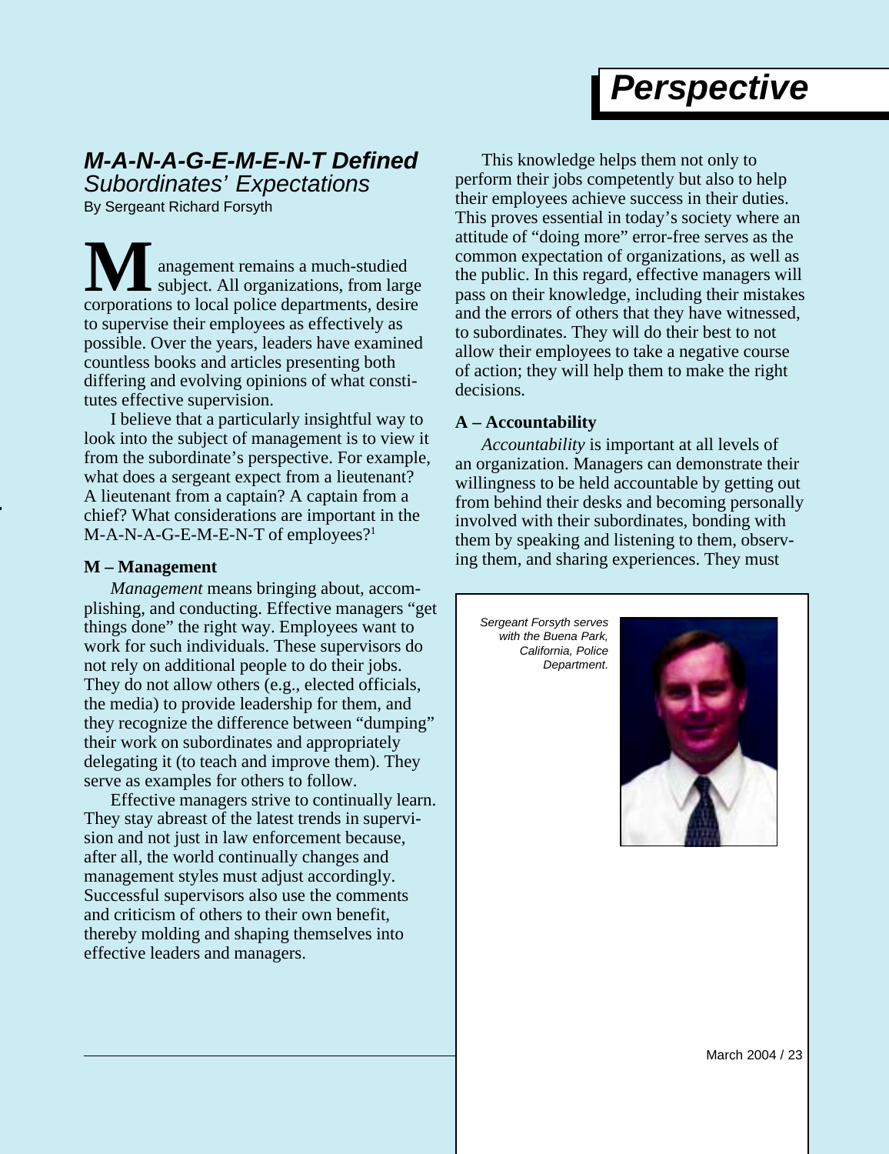## *Perspective*

### <span id="page-23-0"></span>*M-A-N-A-G-E-M-E-N-T Defined Subordinates' Expectations*

By Sergeant Richard Forsyth

anagement remains a much-studied subject. All organizations, from large **M** anagement remains a much-studied<br>subject. All organizations, from large<br>corporations to local police departments, desire to supervise their employees as effectively as possible. Over the years, leaders have examined countless books and articles presenting both differing and evolving opinions of what constitutes effective supervision.

I believe that a particularly insightful way to look into the subject of management is to view it from the subordinate's perspective. For example, what does a sergeant expect from a lieutenant? A lieutenant from a captain? A captain from a chief? What considerations are important in the M-A-N-A-G-E-M-E-N-T of employees?<sup>1</sup>

#### **M – Management**

*Management* means bringing about, accomplishing, and conducting. Effective managers "get things done" the right way. Employees want to work for such individuals. These supervisors do not rely on additional people to do their jobs. They do not allow others (e.g., elected officials, the media) to provide leadership for them, and they recognize the difference between "dumping" their work on subordinates and appropriately delegating it (to teach and improve them). They serve as examples for others to follow.

Effective managers strive to continually learn. They stay abreast of the latest trends in supervision and not just in law enforcement because, after all, the world continually changes and management styles must adjust accordingly. Successful supervisors also use the comments and criticism of others to their own benefit, thereby molding and shaping themselves into effective leaders and managers.

This knowledge helps them not only to perform their jobs competently but also to help their employees achieve success in their duties. This proves essential in today's society where an attitude of "doing more" error-free serves as the common expectation of organizations, as well as the public. In this regard, effective managers will pass on their knowledge, including their mistakes and the errors of others that they have witnessed, to subordinates. They will do their best to not allow their employees to take a negative course of action; they will help them to make the right decisions.

#### **A – Accountability**

*Accountability* is important at all levels of an organization. Managers can demonstrate their willingness to be held accountable by getting out from behind their desks and becoming personally involved with their subordinates, bonding with them by speaking and listening to them, observing them, and sharing experiences. They must

*Sergeant Forsyth serves with the Buena Park, California, Police Department.*



March 2004 / 23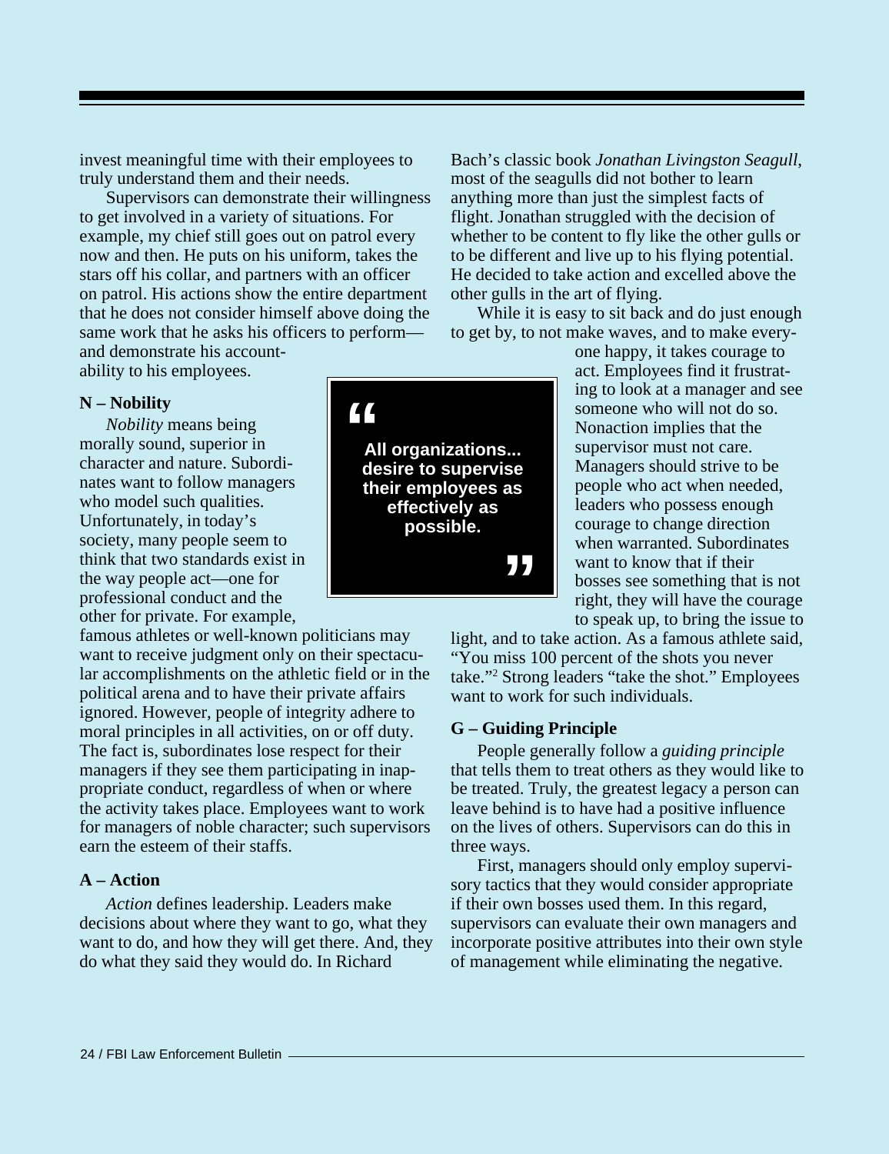invest meaningful time with their employees to truly understand them and their needs.

Supervisors can demonstrate their willingness to get involved in a variety of situations. For example, my chief still goes out on patrol every now and then. He puts on his uniform, takes the stars off his collar, and partners with an officer on patrol. His actions show the entire department that he does not consider himself above doing the same work that he asks his officers to perform—

and demonstrate his accountability to his employees.

#### **N – Nobility**

*Nobility* means being morally sound, superior in character and nature. Subordinates want to follow managers who model such qualities. Unfortunately, in today's society, many people seem to think that two standards exist in the way people act—one for professional conduct and the other for private. For example,

famous athletes or well-known politicians may want to receive judgment only on their spectacular accomplishments on the athletic field or in the political arena and to have their private affairs ignored. However, people of integrity adhere to moral principles in all activities, on or off duty. The fact is, subordinates lose respect for their managers if they see them participating in inappropriate conduct, regardless of when or where the activity takes place. Employees want to work for managers of noble character; such supervisors earn the esteem of their staffs.

#### **A – Action**

*Action* defines leadership. Leaders make decisions about where they want to go, what they want to do, and how they will get there. And, they do what they said they would do. In Richard

Bach's classic book *Jonathan Livingston Seagull*, most of the seagulls did not bother to learn anything more than just the simplest facts of flight. Jonathan struggled with the decision of whether to be content to fly like the other gulls or to be different and live up to his flying potential. He decided to take action and excelled above the other gulls in the art of flying.

While it is easy to sit back and do just enough to get by, to not make waves, and to make every-

one happy, it takes courage to act. Employees find it frustrating to look at a manager and see someone who will not do so. Nonaction implies that the supervisor must not care. Managers should strive to be people who act when needed, leaders who possess enough courage to change direction when warranted. Subordinates want to know that if their bosses see something that is not right, they will have the courage to speak up, to bring the issue to

light, and to take action. As a famous athlete said, "You miss 100 percent of the shots you never take."2 Strong leaders "take the shot." Employees want to work for such individuals.

#### **G – Guiding Principle**

People generally follow a *guiding principle* that tells them to treat others as they would like to be treated. Truly, the greatest legacy a person can leave behind is to have had a positive influence on the lives of others. Supervisors can do this in three ways.

First, managers should only employ supervisory tactics that they would consider appropriate if their own bosses used them. In this regard, supervisors can evaluate their own managers and incorporate positive attributes into their own style of management while eliminating the negative.

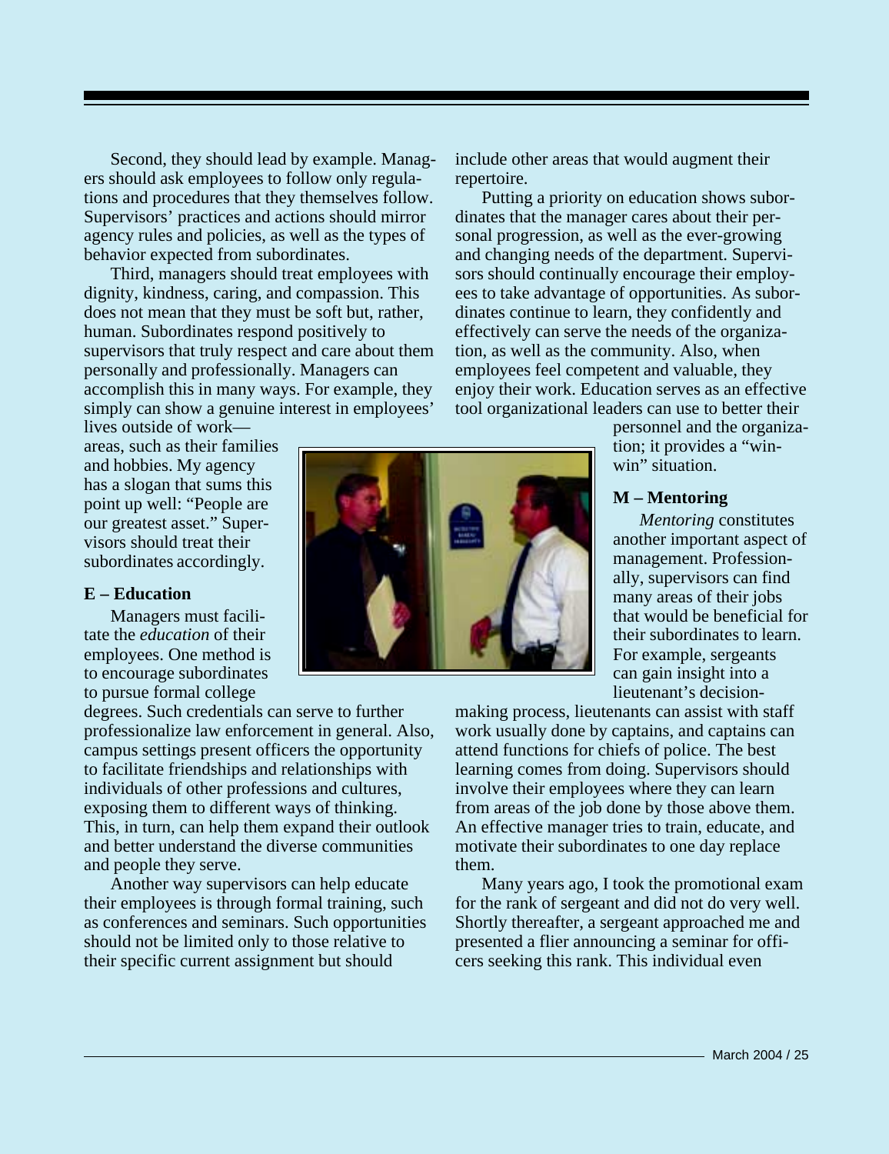Second, they should lead by example. Managers should ask employees to follow only regulations and procedures that they themselves follow. Supervisors' practices and actions should mirror agency rules and policies, as well as the types of behavior expected from subordinates.

Third, managers should treat employees with dignity, kindness, caring, and compassion. This does not mean that they must be soft but, rather, human. Subordinates respond positively to supervisors that truly respect and care about them personally and professionally. Managers can accomplish this in many ways. For example, they simply can show a genuine interest in employees'

lives outside of work areas, such as their families and hobbies. My agency has a slogan that sums this point up well: "People are our greatest asset." Supervisors should treat their subordinates accordingly.

#### **E – Education**

Managers must facilitate the *education* of their employees. One method is to encourage subordinates to pursue formal college

degrees. Such credentials can serve to further professionalize law enforcement in general. Also, campus settings present officers the opportunity to facilitate friendships and relationships with individuals of other professions and cultures, exposing them to different ways of thinking. This, in turn, can help them expand their outlook and better understand the diverse communities and people they serve.

Another way supervisors can help educate their employees is through formal training, such as conferences and seminars. Such opportunities should not be limited only to those relative to their specific current assignment but should



include other areas that would augment their repertoire.

Putting a priority on education shows subordinates that the manager cares about their personal progression, as well as the ever-growing and changing needs of the department. Supervisors should continually encourage their employees to take advantage of opportunities. As subordinates continue to learn, they confidently and effectively can serve the needs of the organization, as well as the community. Also, when employees feel competent and valuable, they enjoy their work. Education serves as an effective tool organizational leaders can use to better their

> personnel and the organization; it provides a "winwin" situation.

#### **M – Mentoring**

*Mentoring* constitutes another important aspect of management. Professionally, supervisors can find many areas of their jobs that would be beneficial for their subordinates to learn. For example, sergeants can gain insight into a lieutenant's decision-

making process, lieutenants can assist with staff work usually done by captains, and captains can attend functions for chiefs of police. The best learning comes from doing. Supervisors should involve their employees where they can learn from areas of the job done by those above them. An effective manager tries to train, educate, and motivate their subordinates to one day replace them.

Many years ago, I took the promotional exam for the rank of sergeant and did not do very well. Shortly thereafter, a sergeant approached me and presented a flier announcing a seminar for officers seeking this rank. This individual even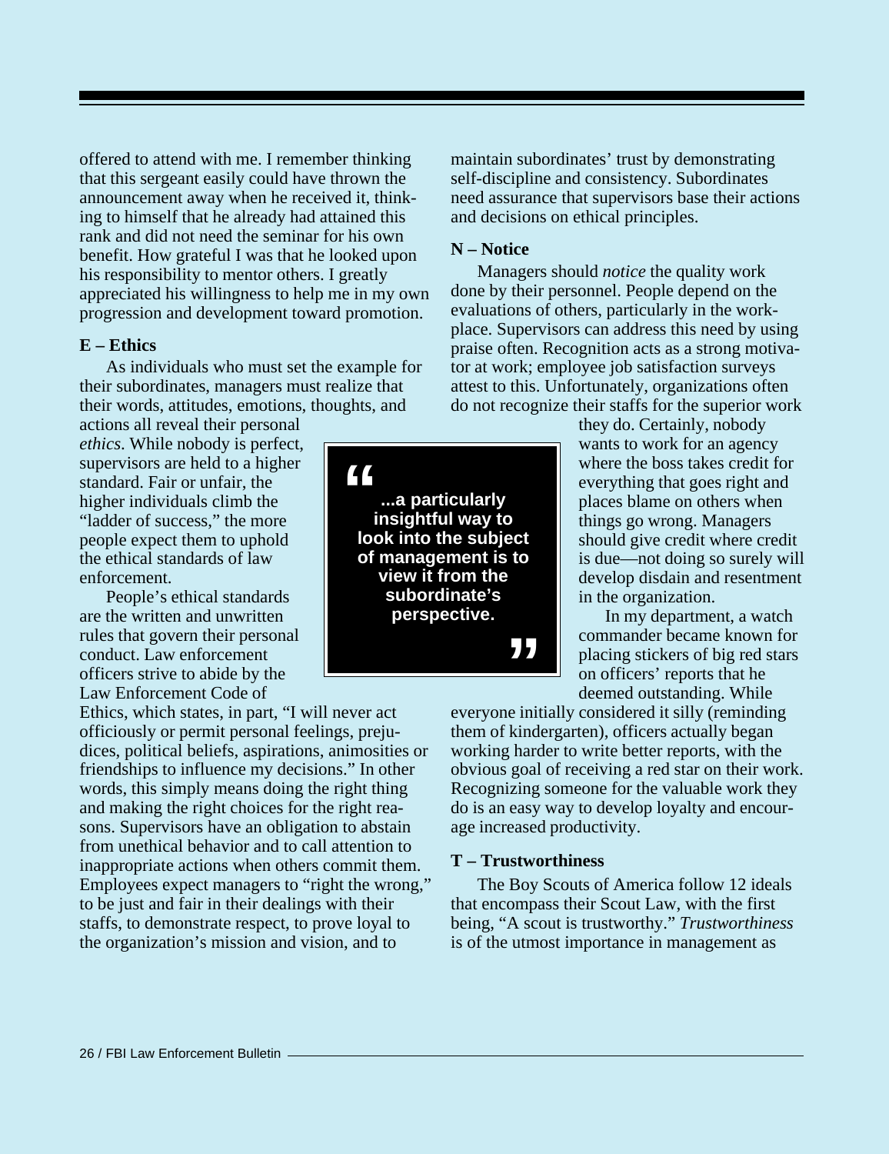offered to attend with me. I remember thinking that this sergeant easily could have thrown the announcement away when he received it, thinking to himself that he already had attained this rank and did not need the seminar for his own benefit. How grateful I was that he looked upon his responsibility to mentor others. I greatly appreciated his willingness to help me in my own progression and development toward promotion.

#### **E – Ethics**

As individuals who must set the example for their subordinates, managers must realize that their words, attitudes, emotions, thoughts, and

actions all reveal their personal *ethics*. While nobody is perfect, supervisors are held to a higher standard. Fair or unfair, the higher individuals climb the "ladder of success," the more people expect them to uphold the ethical standards of law enforcement.

People's ethical standards are the written and unwritten rules that govern their personal conduct. Law enforcement officers strive to abide by the Law Enforcement Code of

Ethics, which states, in part, "I will never act officiously or permit personal feelings, prejudices, political beliefs, aspirations, animosities or friendships to influence my decisions." In other words, this simply means doing the right thing and making the right choices for the right reasons. Supervisors have an obligation to abstain from unethical behavior and to call attention to inappropriate actions when others commit them. Employees expect managers to "right the wrong," to be just and fair in their dealings with their staffs, to demonstrate respect, to prove loyal to the organization's mission and vision, and to

maintain subordinates' trust by demonstrating self-discipline and consistency. Subordinates need assurance that supervisors base their actions and decisions on ethical principles.

#### **N – Notice**

Managers should *notice* the quality work done by their personnel. People depend on the evaluations of others, particularly in the workplace. Supervisors can address this need by using praise often. Recognition acts as a strong motivator at work; employee job satisfaction surveys attest to this. Unfortunately, organizations often do not recognize their staffs for the superior work

> they do. Certainly, nobody wants to work for an agency where the boss takes credit for everything that goes right and places blame on others when things go wrong. Managers should give credit where credit is due—not doing so surely will develop disdain and resentment in the organization.

In my department, a watch commander became known for placing stickers of big red stars on officers' reports that he deemed outstanding. While

everyone initially considered it silly (reminding them of kindergarten), officers actually began working harder to write better reports, with the obvious goal of receiving a red star on their work. Recognizing someone for the valuable work they do is an easy way to develop loyalty and encourage increased productivity.

#### **T – Trustworthiness**

The Boy Scouts of America follow 12 ideals that encompass their Scout Law, with the first being, "A scout is trustworthy." *Trustworthiness* is of the utmost importance in management as

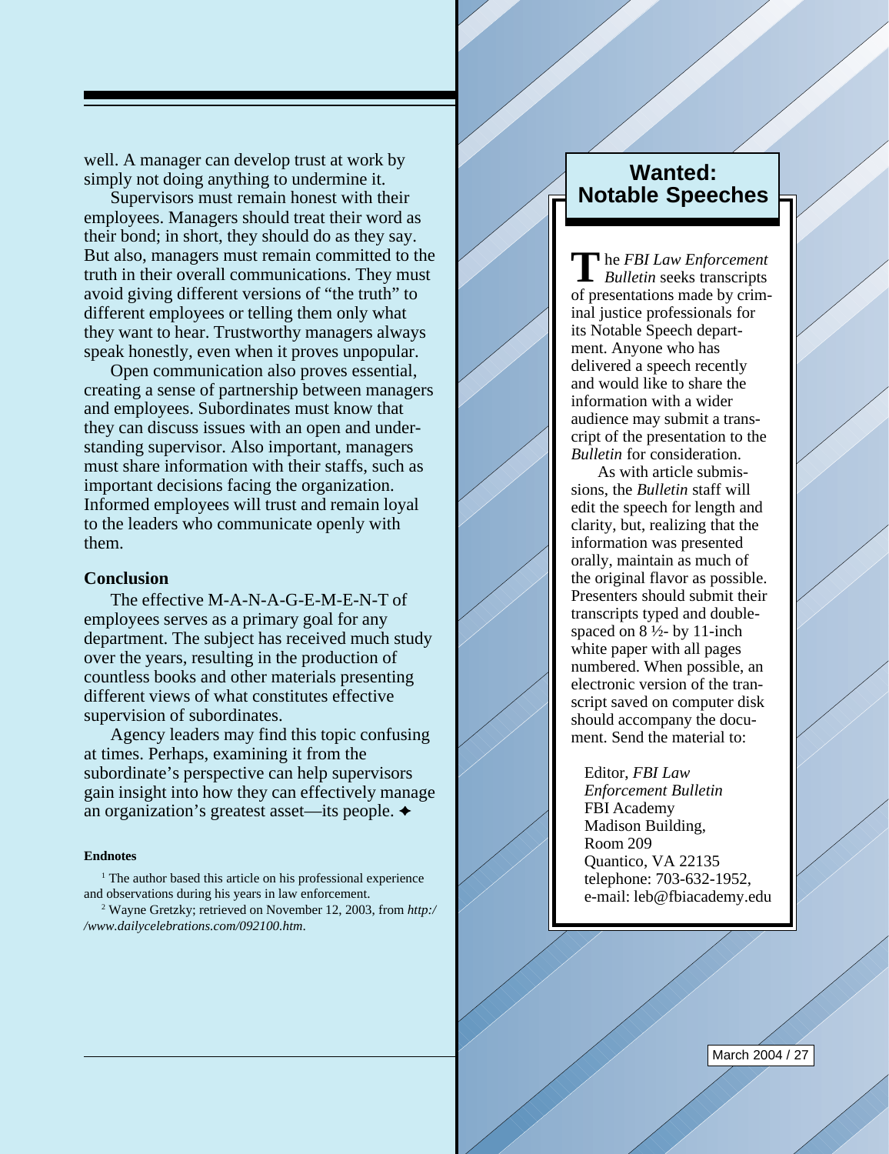well. A manager can develop trust at work by simply not doing anything to undermine it.

Supervisors must remain honest with their employees. Managers should treat their word as their bond; in short, they should do as they say. But also, managers must remain committed to the truth in their overall communications. They must avoid giving different versions of "the truth" to different employees or telling them only what they want to hear. Trustworthy managers always speak honestly, even when it proves unpopular.

Open communication also proves essential, creating a sense of partnership between managers and employees. Subordinates must know that they can discuss issues with an open and understanding supervisor. Also important, managers must share information with their staffs, such as important decisions facing the organization. Informed employees will trust and remain loyal to the leaders who communicate openly with them.

#### **Conclusion**

The effective M-A-N-A-G-E-M-E-N-T of employees serves as a primary goal for any department. The subject has received much study over the years, resulting in the production of countless books and other materials presenting different views of what constitutes effective supervision of subordinates.

Agency leaders may find this topic confusing at times. Perhaps, examining it from the subordinate's perspective can help supervisors gain insight into how they can effectively manage an organization's greatest asset—its people.

#### **Endnotes**

<sup>1</sup> The author based this article on his professional experience and observations during his years in law enforcement.

2 Wayne Gretzky; retrieved on November 12, 2003, from *http:/ /www.dailycelebrations.com/092100.htm*.

### **Wanted: Notable Speeches**

he *FBI Law Enforcement* **T***Bulletin* seeks transcripts of presentations made by criminal justice professionals for its Notable Speech department. Anyone who has delivered a speech recently and would like to share the information with a wider audience may submit a transcript of the presentation to the *Bulletin* for consideration.

As with article submissions, the *Bulletin* staff will edit the speech for length and clarity, but, realizing that the information was presented orally, maintain as much of the original flavor as possible. Presenters should submit their transcripts typed and doublespaced on  $8\frac{1}{2}$ - by 11-inch white paper with all pages numbered. When possible, an electronic version of the transcript saved on computer disk should accompany the document. Send the material to:

Editor, *FBI Law Enforcement Bulletin* FBI Academy Madison Building, Room 209 Quantico, VA 22135 telephone: 703-632-1952, e-mail: leb@fbiacademy.edu

March 2004 / 27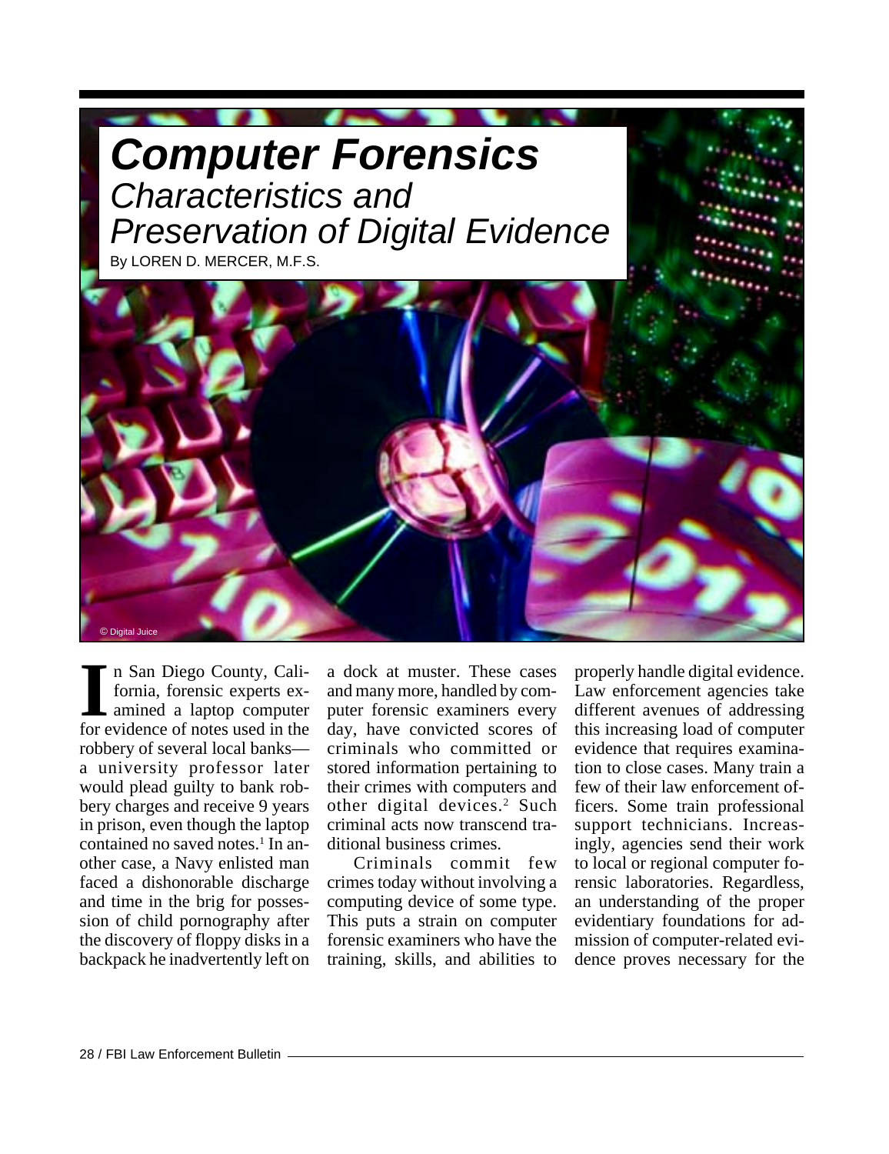<span id="page-28-0"></span>

n San Diego County, California, forensic experts examined a laptop computer Il n San Diego County, Cali-<br>fornia, forensic experts ex-<br>amined a laptop computer<br>for evidence of notes used in the robbery of several local banks a university professor later would plead guilty to bank robbery charges and receive 9 years in prison, even though the laptop contained no saved notes.<sup>1</sup> In another case, a Navy enlisted man faced a dishonorable discharge and time in the brig for possession of child pornography after the discovery of floppy disks in a backpack he inadvertently left on

a dock at muster. These cases and many more, handled by computer forensic examiners every day, have convicted scores of criminals who committed or stored information pertaining to their crimes with computers and other digital devices.<sup>2</sup> Such criminal acts now transcend traditional business crimes.

Criminals commit few crimes today without involving a computing device of some type. This puts a strain on computer forensic examiners who have the training, skills, and abilities to

properly handle digital evidence. Law enforcement agencies take different avenues of addressing this increasing load of computer evidence that requires examination to close cases. Many train a few of their law enforcement officers. Some train professional support technicians. Increasingly, agencies send their work to local or regional computer forensic laboratories. Regardless, an understanding of the proper evidentiary foundations for admission of computer-related evidence proves necessary for the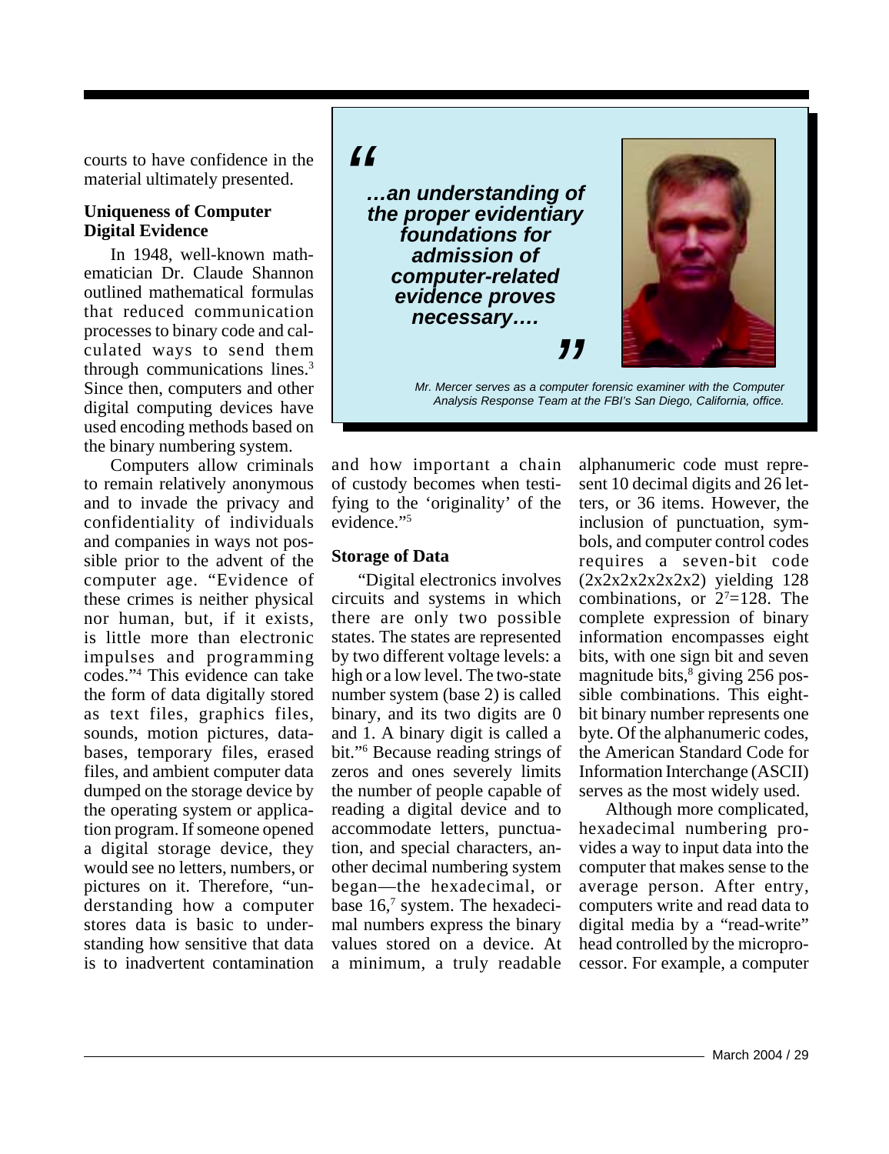courts to have confidence in the material ultimately presented.

#### **Uniqueness of Computer Digital Evidence**

In 1948, well-known mathematician Dr. Claude Shannon outlined mathematical formulas that reduced communication processes to binary code and calculated ways to send them through communications lines.3 Since then, computers and other digital computing devices have used encoding methods based on the binary numbering system.

Computers allow criminals to remain relatively anonymous and to invade the privacy and confidentiality of individuals and companies in ways not possible prior to the advent of the computer age. "Evidence of these crimes is neither physical nor human, but, if it exists, is little more than electronic impulses and programming codes."4 This evidence can take the form of data digitally stored as text files, graphics files, sounds, motion pictures, databases, temporary files, erased files, and ambient computer data dumped on the storage device by the operating system or application program. If someone opened a digital storage device, they would see no letters, numbers, or pictures on it. Therefore, "understanding how a computer stores data is basic to understanding how sensitive that data is to inadvertent contamination

## *"*

*…an understanding of the proper evidentiary foundations for admission of computer-related evidence proves necessary….*



*Analysis Response Team at the FBI's San Diego, California, office.***<br>Analysis Response Team at the FBI's San Diego, California, office.** *Mr. Mercer serves as a computer forensic examiner with the Computer*

and how important a chain of custody becomes when testifying to the 'originality' of the evidence."5

#### **Storage of Data**

"Digital electronics involves circuits and systems in which there are only two possible states. The states are represented by two different voltage levels: a high or a low level. The two-state number system (base 2) is called binary, and its two digits are 0 and 1. A binary digit is called a bit."6 Because reading strings of zeros and ones severely limits the number of people capable of reading a digital device and to accommodate letters, punctuation, and special characters, another decimal numbering system began—the hexadecimal, or base 16,7 system. The hexadecimal numbers express the binary values stored on a device. At a minimum, a truly readable

alphanumeric code must represent 10 decimal digits and 26 letters, or 36 items. However, the inclusion of punctuation, symbols, and computer control codes requires a seven-bit code  $(2x2x2x2x2x2)$  yielding 128 combinations, or  $2^7=128$ . The complete expression of binary information encompasses eight bits, with one sign bit and seven magnitude bits,<sup>8</sup> giving 256 possible combinations. This eightbit binary number represents one byte. Of the alphanumeric codes, the American Standard Code for Information Interchange (ASCII) serves as the most widely used.

Although more complicated, hexadecimal numbering provides a way to input data into the computer that makes sense to the average person. After entry, computers write and read data to digital media by a "read-write" head controlled by the microprocessor. For example, a computer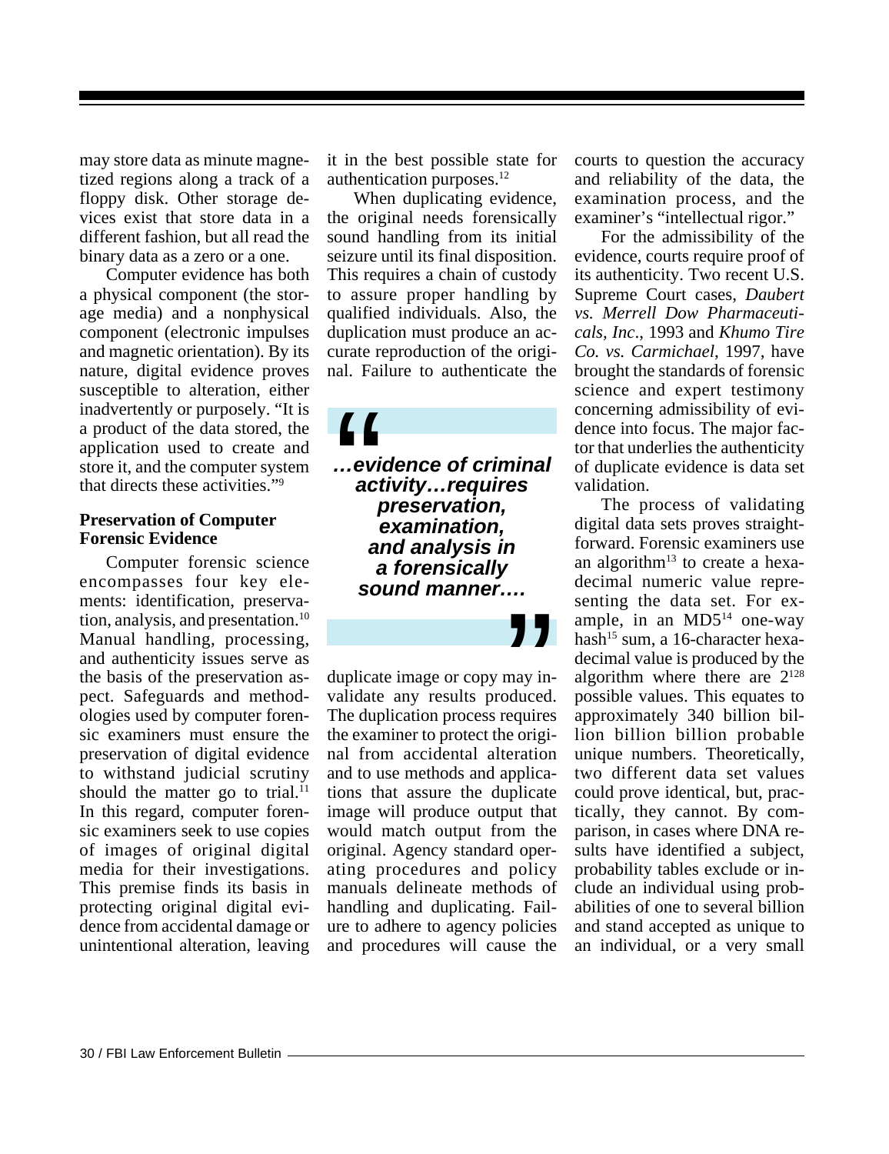may store data as minute magnetized regions along a track of a floppy disk. Other storage devices exist that store data in a different fashion, but all read the binary data as a zero or a one.

Computer evidence has both a physical component (the storage media) and a nonphysical component (electronic impulses and magnetic orientation). By its nature, digital evidence proves susceptible to alteration, either inadvertently or purposely. "It is a product of the data stored, the application used to create and store it, and the computer system that directs these activities."9

#### **Preservation of Computer Forensic Evidence**

Computer forensic science encompasses four key elements: identification, preservation, analysis, and presentation.<sup>10</sup> Manual handling, processing, and authenticity issues serve as the basis of the preservation aspect. Safeguards and methodologies used by computer forensic examiners must ensure the preservation of digital evidence to withstand judicial scrutiny should the matter go to trial.<sup>11</sup> In this regard, computer forensic examiners seek to use copies of images of original digital media for their investigations. This premise finds its basis in protecting original digital evidence from accidental damage or unintentional alteration, leaving it in the best possible state for authentication purposes.12

When duplicating evidence, the original needs forensically sound handling from its initial seizure until its final disposition. This requires a chain of custody to assure proper handling by qualified individuals. Also, the duplication must produce an accurate reproduction of the original. Failure to authenticate the

*…evidence of criminal activity…requires preservation, examination, and analysis in a forensically sound manner….*  $\begin{array}{c} \begin{array}{c} \begin{smallmatrix} 0 \\ \end{smallmatrix} \end{array}$ 

duplicate image or copy may invalidate any results produced. The duplication process requires the examiner to protect the original from accidental alteration and to use methods and applications that assure the duplicate image will produce output that would match output from the original. Agency standard operating procedures and policy manuals delineate methods of handling and duplicating. Failure to adhere to agency policies and procedures will cause the **J**<br>may in-<br>equires<br>e origicourts to question the accuracy and reliability of the data, the examination process, and the examiner's "intellectual rigor."

For the admissibility of the evidence, courts require proof of its authenticity. Two recent U.S. Supreme Court cases, *Daubert vs. Merrell Dow Pharmaceuticals, Inc*., 1993 and *Khumo Tire Co. vs. Carmichael*, 1997, have brought the standards of forensic science and expert testimony concerning admissibility of evidence into focus. The major factor that underlies the authenticity of duplicate evidence is data set validation.

The process of validating digital data sets proves straightforward. Forensic examiners use an algorithm<sup>13</sup> to create a hexadecimal numeric value representing the data set. For example, in an  $MD5<sup>14</sup>$  one-way hash<sup>15</sup> sum, a 16-character hexadecimal value is produced by the algorithm where there are  $2^{128}$ possible values. This equates to approximately 340 billion billion billion billion probable unique numbers. Theoretically, two different data set values could prove identical, but, practically, they cannot. By comparison, in cases where DNA results have identified a subject, probability tables exclude or include an individual using probabilities of one to several billion and stand accepted as unique to an individual, or a very small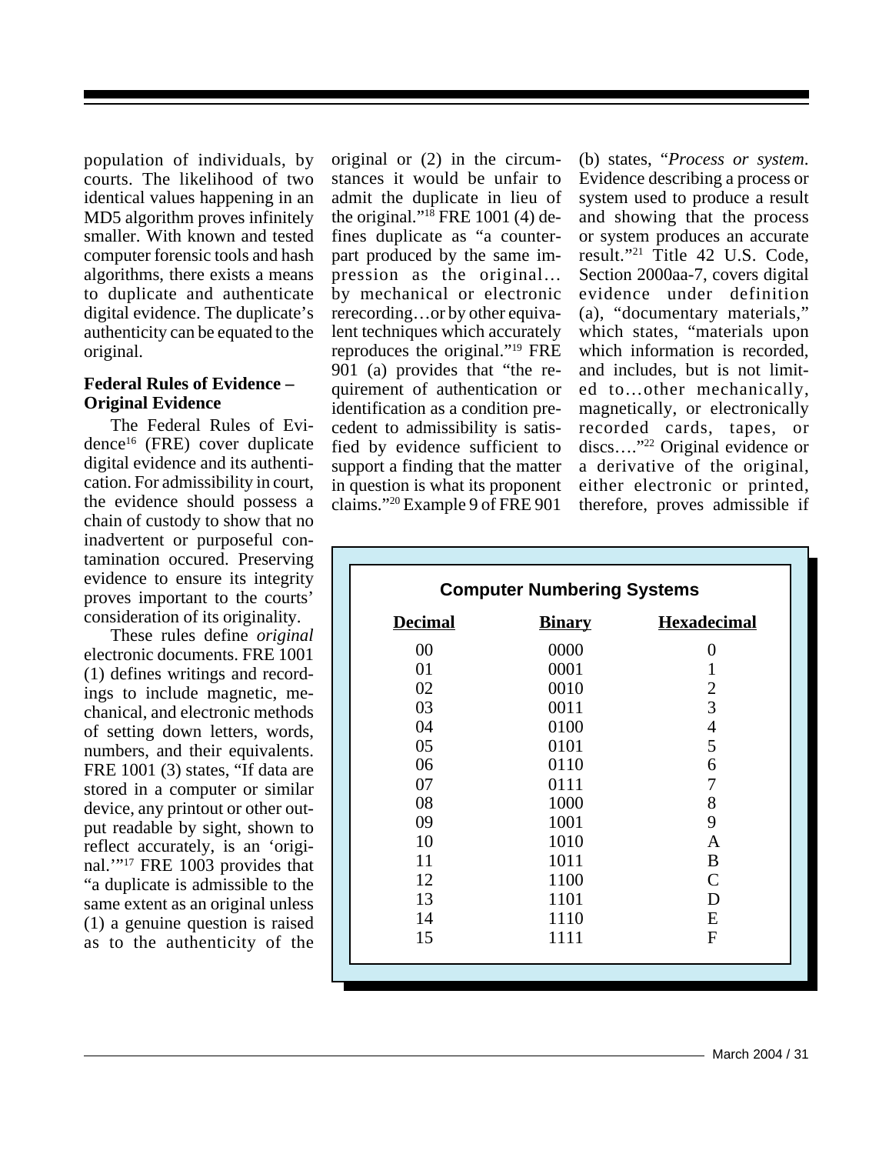population of individuals, by courts. The likelihood of two identical values happening in an MD5 algorithm proves infinitely smaller. With known and tested computer forensic tools and hash algorithms, there exists a means to duplicate and authenticate digital evidence. The duplicate's authenticity can be equated to the original.

#### **Federal Rules of Evidence – Original Evidence**

The Federal Rules of Evidence16 (FRE) cover duplicate digital evidence and its authentication. For admissibility in court, the evidence should possess a chain of custody to show that no inadvertent or purposeful contamination occured. Preserving evidence to ensure its integrity proves important to the courts' consideration of its originality.

These rules define *original* electronic documents. FRE 1001 (1) defines writings and recordings to include magnetic, mechanical, and electronic methods of setting down letters, words, numbers, and their equivalents. FRE 1001 (3) states, "If data are stored in a computer or similar device, any printout or other output readable by sight, shown to reflect accurately, is an 'original."<sup>17</sup> FRE 1003 provides that "a duplicate is admissible to the same extent as an original unless (1) a genuine question is raised as to the authenticity of the

original or (2) in the circumstances it would be unfair to admit the duplicate in lieu of the original."18 FRE 1001 (4) defines duplicate as "a counterpart produced by the same impression as the original… by mechanical or electronic rerecording…or by other equivalent techniques which accurately reproduces the original."19 FRE 901 (a) provides that "the requirement of authentication or identification as a condition precedent to admissibility is satisfied by evidence sufficient to support a finding that the matter in question is what its proponent claims."20 Example 9 of FRE 901

(b) states, "*Process or system*. Evidence describing a process or system used to produce a result and showing that the process or system produces an accurate result."21 Title 42 U.S. Code, Section 2000aa-7, covers digital evidence under definition (a), "documentary materials," which states, "materials upon which information is recorded, and includes, but is not limited to…other mechanically, magnetically, or electronically recorded cards, tapes, or discs…."22 Original evidence or a derivative of the original, either electronic or printed, therefore, proves admissible if

| <b>Computer Numbering Systems</b> |               |                    |
|-----------------------------------|---------------|--------------------|
| <b>Decimal</b>                    | <b>Binary</b> | <b>Hexadecimal</b> |
| 00                                | 0000          | 0                  |
| 01                                | 0001          | 1                  |
| 02                                | 0010          | $\overline{2}$     |
| 03                                | 0011          | 3                  |
| 04                                | 0100          | $\overline{4}$     |
| 05                                | 0101          | 5                  |
| 06                                | 0110          | 6                  |
| 07                                | 0111          | 7                  |
| 08                                | 1000          | 8                  |
| 09                                | 1001          | 9                  |
| 10                                | 1010          | A                  |
| 11                                | 1011          | B                  |
| 12                                | 1100          | $\mathsf{C}$       |
| 13                                | 1101          | D                  |
| 14                                | 1110          | E                  |
| 15                                | 1111          | F                  |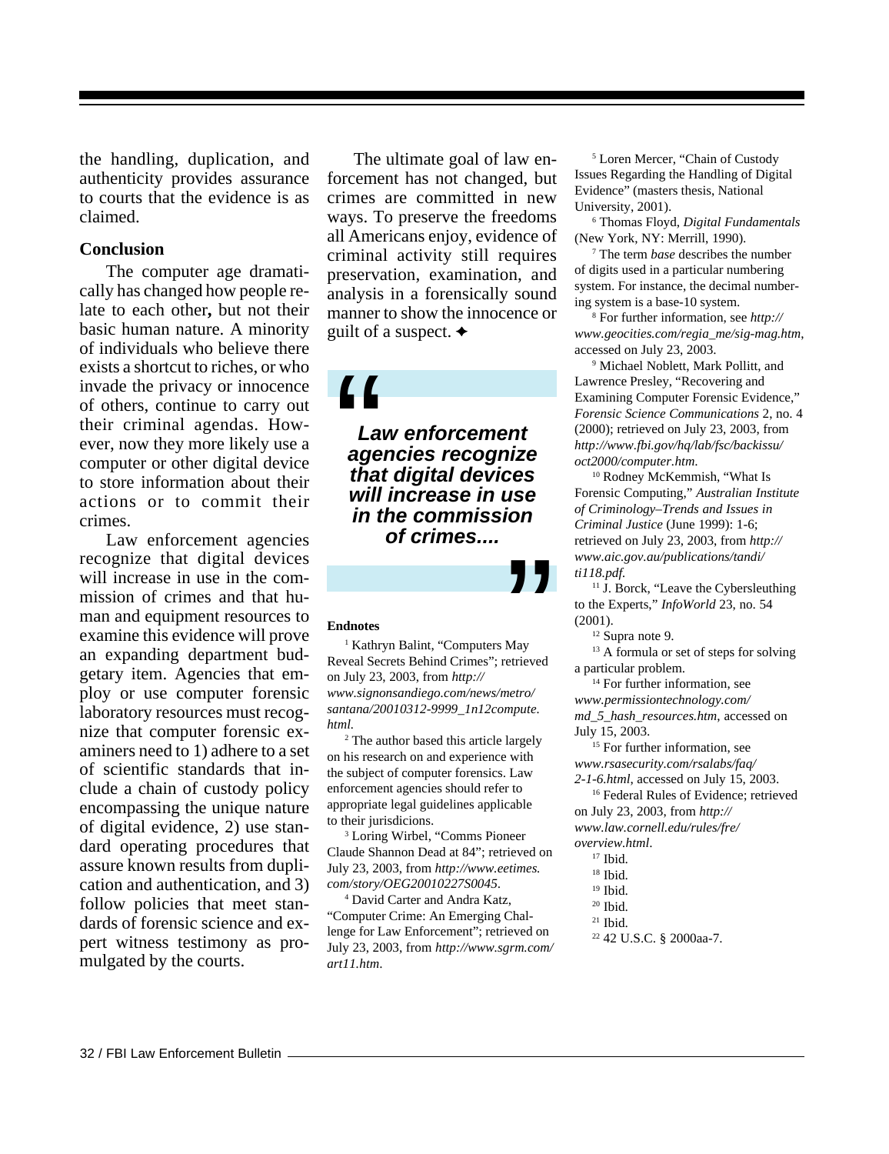the handling, duplication, and authenticity provides assurance to courts that the evidence is as claimed.

#### **Conclusion**

The computer age dramatically has changed how people relate to each other**,** but not their basic human nature. A minority of individuals who believe there exists a shortcut to riches, or who invade the privacy or innocence of others, continue to carry out their criminal agendas. However, now they more likely use a computer or other digital device to store information about their actions or to commit their crimes.

Law enforcement agencies recognize that digital devices will increase in use in the commission of crimes and that human and equipment resources to examine this evidence will prove an expanding department budgetary item. Agencies that employ or use computer forensic laboratory resources must recognize that computer forensic examiners need to 1) adhere to a set of scientific standards that include a chain of custody policy encompassing the unique nature of digital evidence, 2) use standard operating procedures that assure known results from duplication and authentication, and 3) follow policies that meet standards of forensic science and expert witness testimony as promulgated by the courts.

The ultimate goal of law enforcement has not changed, but crimes are committed in new ways. To preserve the freedoms all Americans enjoy, evidence of criminal activity still requires preservation, examination, and analysis in a forensically sound manner to show the innocence or guilt of a suspect.  $\triangleleft$ 

*Law enforcement agencies recognize that digital devices will increase in use in the commission of crimes....*  $\begin{bmatrix} 1 \\ 2 \\ 3 \\ 4 \\ 5 \\ 6 \\ 7 \\ 1 \end{bmatrix}$ 

#### **Endnotes**

1 Kathryn Balint, "Computers May Reveal Secrets Behind Crimes"; retrieved on July 23, 2003, from *http:// www.signonsandiego.com/news/metro/ santana/20010312-9999\_1n12compute. html.* May<br>May<br>etrieved

2 The author based this article largely on his research on and experience with the subject of computer forensics. Law enforcement agencies should refer to appropriate legal guidelines applicable to their jurisdicions.

3 Loring Wirbel, "Comms Pioneer Claude Shannon Dead at 84"; retrieved on July 23, 2003, from *http://www.eetimes. com/story/OEG20010227S0045*.

4 David Carter and Andra Katz, "Computer Crime: An Emerging Challenge for Law Enforcement"; retrieved on July 23, 2003, from *http://www.sgrm.com/ art11.htm*.

5 Loren Mercer, "Chain of Custody Issues Regarding the Handling of Digital Evidence" (masters thesis, National University, 2001).

6 Thomas Floyd, *Digital Fundamentals* (New York, NY: Merrill, 1990).

7 The term *base* describes the number of digits used in a particular numbering system. For instance, the decimal numbering system is a base-10 system.

8 For further information, see *http:// www.geocities.com/regia\_me/sig-mag.htm*, accessed on July 23, 2003.

9 Michael Noblett, Mark Pollitt, and Lawrence Presley, "Recovering and Examining Computer Forensic Evidence," *Forensic Science Communications* 2, no. 4 (2000); retrieved on July 23, 2003, from *http://www.fbi.gov/hq/lab/fsc/backissu/ oct2000/computer.htm*.

10 Rodney McKemmish, "What Is Forensic Computing," *Australian Institute of Criminology–Trends and Issues in Criminal Justice* (June 1999): 1-6; retrieved on July 23, 2003, from *http:// www.aic.gov.au/publications/tandi/ ti118.pdf.*

<sup>11</sup> J. Borck, "Leave the Cybersleuthing" to the Experts," *InfoWorld* 23, no. 54 (2001).

12 Supra note 9.

<sup>13</sup> A formula or set of steps for solving a particular problem.

<sup>14</sup> For further information, see *www.permissiontechnology.com/ md\_5\_hash\_resources.htm*, accessed on July 15, 2003.

<sup>15</sup> For further information, see *www.rsasecurity.com/rsalabs/faq/ 2-1-6.html*, accessed on July 15, 2003.

16 Federal Rules of Evidence; retrieved on July 23, 2003, from *http:// www.law.cornell.edu/rules/fre/ overview.html*.

<sup>17</sup> Ibid.

22 42 U.S.C. § 2000aa-7.

<sup>18</sup> Ibid.

<sup>&</sup>lt;sup>19</sup> Ibid.

<sup>&</sup>lt;sup>20</sup> Ibid.

<sup>21</sup> Ibid.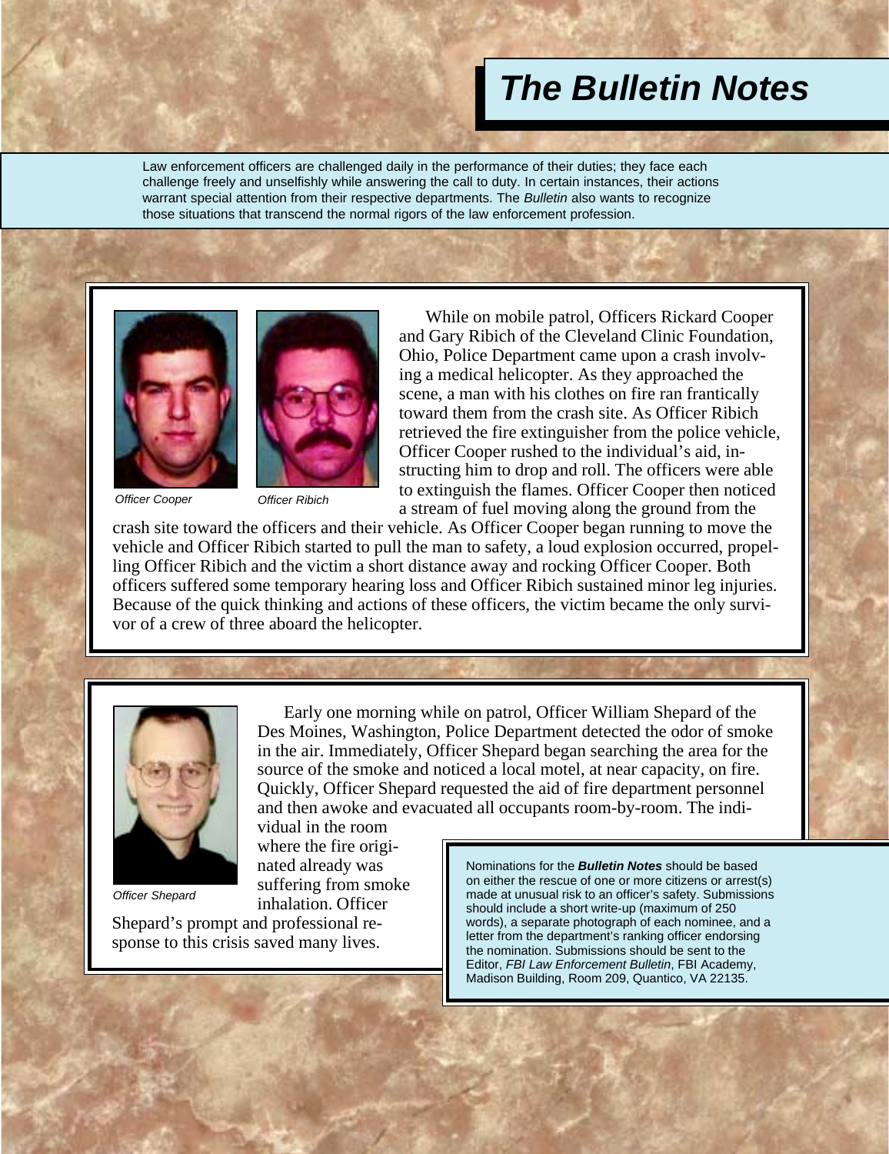## *The Bulletin Notes*

Law enforcement officers are challenged daily in the performance of their duties; they face each challenge freely and unselfishly while answering the call to duty. In certain instances, their actions warrant special attention from their respective departments. The *Bulletin* also wants to recognize those situations that transcend the normal rigors of the law enforcement profession.





vidual in the room where the fire originated already was suffering from smoke inhalation. Officer

*Officer Cooper*

*Officer Ribich*

While on mobile patrol, Officers Rickard Cooper and Gary Ribich of the Cleveland Clinic Foundation, Ohio, Police Department came upon a crash involving a medical helicopter. As they approached the scene, a man with his clothes on fire ran frantically toward them from the crash site. As Officer Ribich retrieved the fire extinguisher from the police vehicle, Officer Cooper rushed to the individual's aid, instructing him to drop and roll. The officers were able to extinguish the flames. Officer Cooper then noticed a stream of fuel moving along the ground from the

crash site toward the officers and their vehicle. As Officer Cooper began running to move the vehicle and Officer Ribich started to pull the man to safety, a loud explosion occurred, propelling Officer Ribich and the victim a short distance away and rocking Officer Cooper. Both officers suffered some temporary hearing loss and Officer Ribich sustained minor leg injuries. Because of the quick thinking and actions of these officers, the victim became the only survivor of a crew of three aboard the helicopter.



*Officer Shepard*

Shepard's prompt and professional response to this crisis saved many lives.

Early one morning while on patrol, Officer William Shepard of the Des Moines, Washington, Police Department detected the odor of smoke in the air. Immediately, Officer Shepard began searching the area for the source of the smoke and noticed a local motel, at near capacity, on fire. Quickly, Officer Shepard requested the aid of fire department personnel and then awoke and evacuated all occupants room-by-room. The indi-

> Nominations for the *Bulletin Notes* should be based on either the rescue of one or more citizens or arrest(s) made at unusual risk to an officer's safety. Submissions should include a short write-up (maximum of 250 words), a separate photograph of each nominee, and a letter from the department's ranking officer endorsing the nomination. Submissions should be sent to the Editor, *FBI Law Enforcement Bulletin*, FBI Academy, Madison Building, Room 209, Quantico, VA 22135.